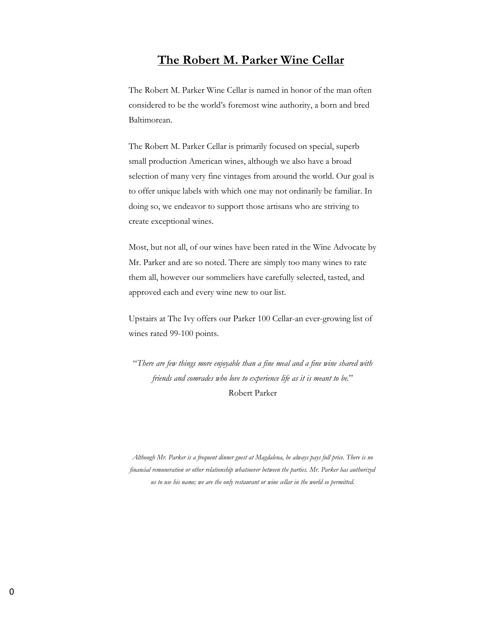# **The Robert M. Parker Wine Cellar**

The Robert M. Parker Wine Cellar is named in honor of the man often considered to be the world's foremost wine authority, a born and bred Baltimorean.

The Robert M. Parker Cellar is primarily focused on special, superb small production American wines, although we also have a broad selection of many very fine vintages from around the world. Our goal is to offer unique labels with which one may not ordinarily be familiar. In doing so, we endeavor to support those artisans who are striving to create exceptional wines.

Most, but not all, of our wines have been rated in the Wine Advocate by Mr. Parker and are so noted. There are simply too many wines to rate them all, however our sommeliers have carefully selected, tasted, and approved each and every wine new to our list.

Upstairs at The Ivy offers our Parker 100 Cellar-an ever-growing list of wines rated 99-100 points.

"*There are few things more enjoyable than a fine meal and a fine wine shared with friends and comrades who love to experience life as it is meant to be.*" Robert Parker

*Although Mr. Parker is a frequent dinner guest at Magdalena, he always pays full price. There is no financial remuneration or other relationship whatsoever between the parties. Mr. Parker has authorized us to use his name; we are the only restaurant or wine cellar in the world so permitted.*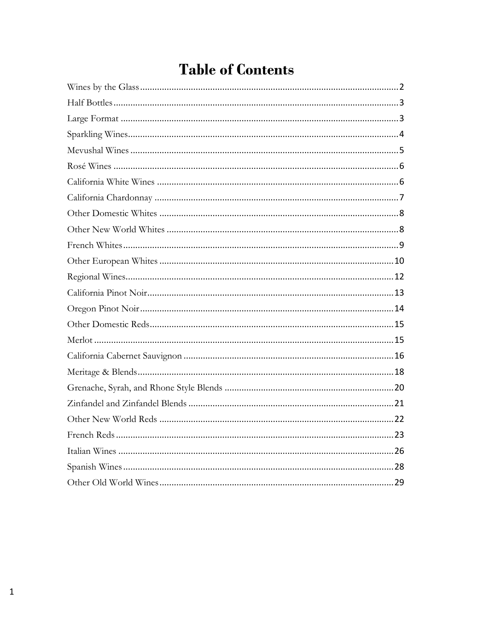# **Table of Contents**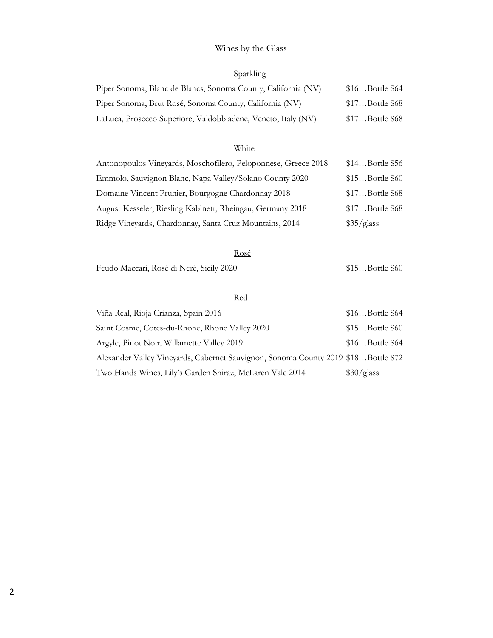#### <span id="page-2-0"></span>Wines by the Glass

# Sparkling

| Piper Sonoma, Blanc de Blancs, Sonoma County, California (NV) | $$16$ Bottle $$64$ |
|---------------------------------------------------------------|--------------------|
| Piper Sonoma, Brut Rosé, Sonoma County, California (NV)       | $$17$ Bottle $$68$ |
| LaLuca, Prosecco Superiore, Valdobbiadene, Veneto, Italy (NV) | $$17$ Bottle $$68$ |

# White

| Antonopoulos Vineyards, Moschofilero, Peloponnese, Greece 2018 | \$14Bottle \$56 |
|----------------------------------------------------------------|-----------------|
| Emmolo, Sauvignon Blanc, Napa Valley/Solano County 2020        | \$15Bottle \$60 |
| Domaine Vincent Prunier, Bourgogne Chardonnay 2018             | \$17Bottle \$68 |
| August Kesseler, Riesling Kabinett, Rheingau, Germany 2018     | \$17Bottle \$68 |
| Ridge Vineyards, Chardonnay, Santa Cruz Mountains, 2014        | \$35/glass      |

#### Rosé

| Feudo Maccari, Rosé di Neré, Sicily 2020 | \$15Bottle \$60 |
|------------------------------------------|-----------------|
|------------------------------------------|-----------------|

#### Red

| Viña Real, Rioja Crianza, Spain 2016                                               | \$16Bottle \$64    |
|------------------------------------------------------------------------------------|--------------------|
| Saint Cosme, Cotes-du-Rhone, Rhone Valley 2020                                     | $$15$ Bottle $$60$ |
| Argyle, Pinot Noir, Willamette Valley 2019                                         | $$16$ Bottle $$64$ |
| Alexander Valley Vineyards, Cabernet Sauvignon, Sonoma County 2019 \$18Bottle \$72 |                    |
| Two Hands Wines, Lily's Garden Shiraz, McLaren Vale 2014                           | \$30/glass         |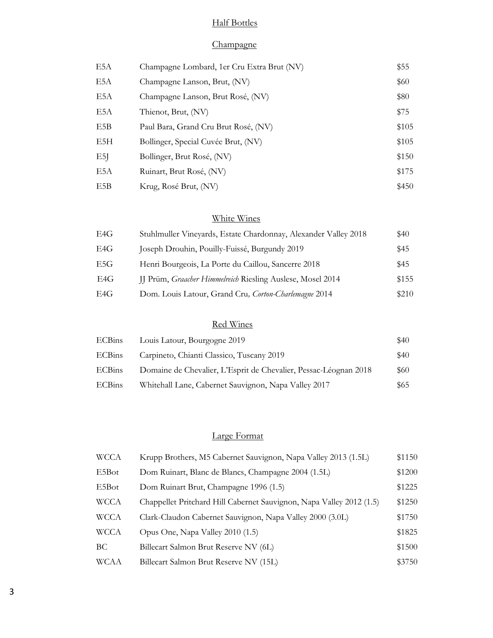# Half Bottles

# **Champagne**

<span id="page-3-0"></span>

| E5A              | Champagne Lombard, 1er Cru Extra Brut (NV) | \$55  |
|------------------|--------------------------------------------|-------|
| E <sub>5</sub> A | Champagne Lanson, Brut, (NV)               | \$60  |
| E <sub>5</sub> A | Champagne Lanson, Brut Rosé, (NV)          | \$80  |
| E5A              | Thienot, Brut, (NV)                        | \$75  |
| E5B              | Paul Bara, Grand Cru Brut Rosé, (NV)       | \$105 |
| E5H              | Bollinger, Special Cuvée Brut, (NV)        | \$105 |
| E5               | Bollinger, Brut Rosé, (NV)                 | \$150 |
| E5A              | Ruinart, Brut Rosé, (NV)                   | \$175 |
| E5B              | Krug, Rosé Brut, (NV)                      | \$450 |
|                  |                                            |       |

# White Wines

| E4G | Stuhlmuller Vineyards, Estate Chardonnay, Alexander Valley 2018 | \$40  |
|-----|-----------------------------------------------------------------|-------|
| E4G | Joseph Drouhin, Pouilly-Fuissé, Burgundy 2019                   | \$45  |
| E5G | Henri Bourgeois, La Porte du Caillou, Sancerre 2018             | \$45  |
| E4G | JJ Prüm, Graacher Himmelreich Riesling Auslese, Mosel 2014      | \$155 |
| E4G | Dom. Louis Latour, Grand Cru, Corton-Charlemagne 2014           | \$210 |

# Red Wines

| <b>ECBins</b> | Louis Latour, Bourgogne 2019                                     | \$40 |
|---------------|------------------------------------------------------------------|------|
| <b>ECBins</b> | Carpineto, Chianti Classico, Tuscany 2019                        | \$40 |
| <b>ECBins</b> | Domaine de Chevalier, L'Esprit de Chevalier, Pessac-Léognan 2018 | \$60 |
| ECBins        | Whitehall Lane, Cabernet Sauvignon, Napa Valley 2017             | \$65 |

# Large Format

<span id="page-3-1"></span>

| <b>WCCA</b> | Krupp Brothers, M5 Cabernet Sauvignon, Napa Valley 2013 (1.5L)       | \$1150 |
|-------------|----------------------------------------------------------------------|--------|
| E5Bot       | Dom Ruinart, Blanc de Blancs, Champagne 2004 (1.5L)                  | \$1200 |
| E5Bot       | Dom Ruinart Brut, Champagne 1996 (1.5)                               | \$1225 |
| <b>WCCA</b> | Chappellet Pritchard Hill Cabernet Sauvignon, Napa Valley 2012 (1.5) | \$1250 |
| <b>WCCA</b> | Clark-Claudon Cabernet Sauvignon, Napa Valley 2000 (3.0L)            | \$1750 |
| <b>WCCA</b> | Opus One, Napa Valley 2010 (1.5)                                     | \$1825 |
| BC          | Billecart Salmon Brut Reserve NV (6L)                                | \$1500 |
| WCAA        | Billecart Salmon Brut Reserve NV (15L)                               | \$3750 |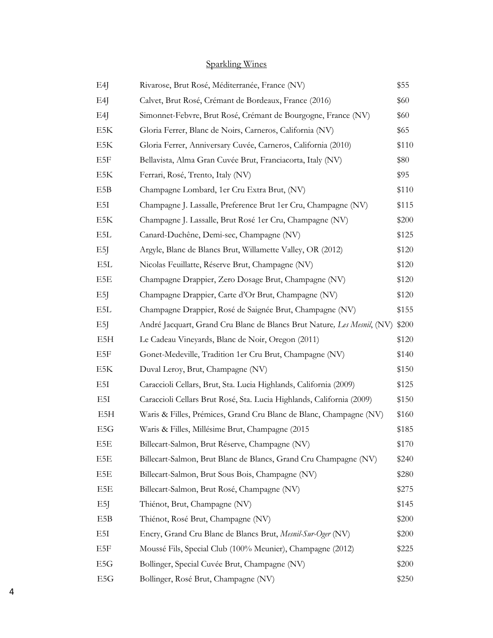# Sparkling Wines

<span id="page-4-0"></span>

| E4               | Rivarose, Brut Rosé, Méditerranée, France (NV)                          | \$55  |
|------------------|-------------------------------------------------------------------------|-------|
| E4               | Calvet, Brut Rosé, Crémant de Bordeaux, France (2016)                   | \$60  |
| E4               | Simonnet-Febvre, Brut Rosé, Crémant de Bourgogne, France (NV)           | \$60  |
| E5K              | Gloria Ferrer, Blanc de Noirs, Carneros, California (NV)                | \$65  |
| E5K              | Gloria Ferrer, Anniversary Cuvée, Carneros, California (2010)           | \$110 |
| E5F              | Bellavista, Alma Gran Cuvée Brut, Franciacorta, Italy (NV)              | \$80  |
| E5K              | Ferrari, Rosé, Trento, Italy (NV)                                       | \$95  |
| E5B              | Champagne Lombard, 1er Cru Extra Brut, (NV)                             | \$110 |
| E5I              | Champagne J. Lassalle, Preference Brut 1er Cru, Champagne (NV)          | \$115 |
| E5K              | Champagne J. Lassalle, Brut Rosé 1er Cru, Champagne (NV)                | \$200 |
| E5L              | Canard-Duchêne, Demi-sec, Champagne (NV)                                | \$125 |
| E5               | Argyle, Blanc de Blancs Brut, Willamette Valley, OR (2012)              | \$120 |
| E5L              | Nicolas Feuillatte, Réserve Brut, Champagne (NV)                        | \$120 |
| E5E              | Champagne Drappier, Zero Dosage Brut, Champagne (NV)                    | \$120 |
| E5               | Champagne Drappier, Carte d'Or Brut, Champagne (NV)                     | \$120 |
| E5L              | Champagne Drappier, Rosé de Saignée Brut, Champagne (NV)                | \$155 |
| E5J              | André Jacquart, Grand Cru Blanc de Blancs Brut Nature, Les Mesnil, (NV) | \$200 |
| E5H              | Le Cadeau Vineyards, Blanc de Noir, Oregon (2011)                       | \$120 |
| E5F              | Gonet-Medeville, Tradition 1er Cru Brut, Champagne (NV)                 | \$140 |
| E5K              | Duval Leroy, Brut, Champagne (NV)                                       | \$150 |
| E5I              | Caraccioli Cellars, Brut, Sta. Lucia Highlands, California (2009)       | \$125 |
| E5I              | Caraccioli Cellars Brut Rosé, Sta. Lucia Highlands, California (2009)   | \$150 |
| E5H              | Waris & Filles, Prémices, Grand Cru Blanc de Blanc, Champagne (NV)      | \$160 |
| E5G              | Waris & Filles, Millésime Brut, Champagne (2015)                        | \$185 |
| E5E              | Billecart-Salmon, Brut Réserve, Champagne (NV)                          | \$170 |
| E5E              | Billecart-Salmon, Brut Blanc de Blancs, Grand Cru Champagne (NV)        | \$240 |
| E5E              | Billecart-Salmon, Brut Sous Bois, Champagne (NV)                        | \$280 |
| E5E              | Billecart-Salmon, Brut Rosé, Champagne (NV)                             | \$275 |
| E5               | Thiénot, Brut, Champagne (NV)                                           | \$145 |
| E5B              | Thiénot, Rosé Brut, Champagne (NV)                                      | \$200 |
| E5I              | Encry, Grand Cru Blanc de Blancs Brut, Mesnil-Sur-Oger (NV)             | \$200 |
| E5F              | Moussé Fils, Special Club (100% Meunier), Champagne (2012)              | \$225 |
| E <sub>5</sub> G | Bollinger, Special Cuvée Brut, Champagne (NV)                           | \$200 |
| E <sub>5</sub> G | Bollinger, Rosé Brut, Champagne (NV)                                    | \$250 |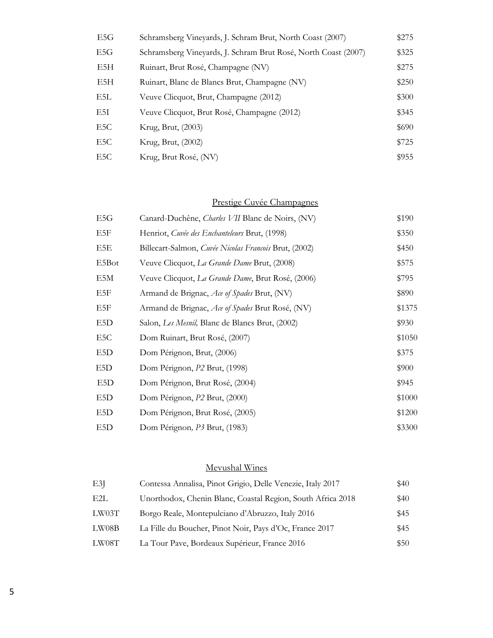| E5G              | Schramsberg Vineyards, J. Schram Brut, North Coast (2007)      | \$275 |
|------------------|----------------------------------------------------------------|-------|
| E <sub>5</sub> G | Schramsberg Vineyards, J. Schram Brut Rosé, North Coast (2007) | \$325 |
| E5H              | Ruinart, Brut Rosé, Champagne (NV)                             | \$275 |
| E5H              | Ruinart, Blanc de Blancs Brut, Champagne (NV)                  | \$250 |
| E5L              | Veuve Clicquot, Brut, Champagne (2012)                         | \$300 |
| E5I              | Veuve Clicquot, Brut Rosé, Champagne (2012)                    | \$345 |
| E5C              | Krug, Brut, (2003)                                             | \$690 |
| E <sub>5</sub> C | Krug, Brut, (2002)                                             | \$725 |
| E <sub>5</sub> C | Krug, Brut Rosé, (NV)                                          | \$955 |

# Prestige Cuvée Champagnes

| E <sub>5</sub> G | Canard-Duchêne, Charles VII Blanc de Noirs, (NV)      | \$190  |
|------------------|-------------------------------------------------------|--------|
| E5F              | Henriot, Cuvée des Enchanteleurs Brut, (1998)         | \$350  |
| E5E              | Billecart-Salmon, Cuvée Nicolas Francois Brut, (2002) | \$450  |
| E5Bot            | Veuve Clicquot, <i>La Grande Dame</i> Brut, (2008)    | \$575  |
| E5M              | Veuve Clicquot, La Grande Dame, Brut Rosé, (2006)     | \$795  |
| E5F              | Armand de Brignac, Ace of Spades Brut, (NV)           | \$890  |
| E5F              | Armand de Brignac, Ace of Spades Brut Rosé, (NV)      | \$1375 |
| E5D              | Salon, Les Mesnil, Blanc de Blancs Brut, (2002)       | \$930  |
| E <sub>5</sub> C | Dom Ruinart, Brut Rosé, (2007)                        | \$1050 |
| E5D              | Dom Pérignon, Brut, (2006)                            | \$375  |
| E5D              | Dom Pérignon, P2 Brut, (1998)                         | \$900  |
| E <sub>5</sub> D | Dom Pérignon, Brut Rosé, (2004)                       | \$945  |
| E5D              | Dom Pérignon, P2 Brut, (2000)                         | \$1000 |
| E5D              | Dom Pérignon, Brut Rosé, (2005)                       | \$1200 |
| E5D              | Dom Pérignon, P3 Brut, (1983)                         | \$3300 |

# Mevushal Wines

<span id="page-5-0"></span>

| E3    | Contessa Annalisa, Pinot Grigio, Delle Venezie, Italy 2017  | \$40 |
|-------|-------------------------------------------------------------|------|
| E2L   | Unorthodox, Chenin Blanc, Coastal Region, South Africa 2018 | \$40 |
| LW03T | Borgo Reale, Montepulciano d'Abruzzo, Italy 2016            | \$45 |
| LW08B | La Fille du Boucher, Pinot Noir, Pays d'Oc, France 2017     | \$45 |
| LW08T | La Tour Pave, Bordeaux Supérieur, France 2016               | \$50 |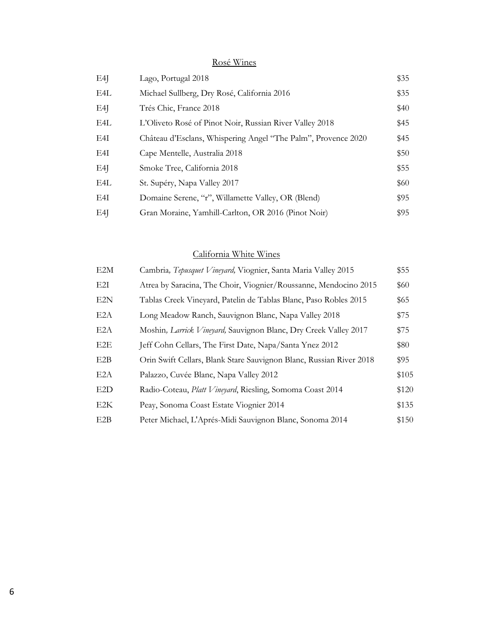#### Rosé Wines

<span id="page-6-0"></span>

| E4  | Lago, Portugal 2018                                           | \$35 |
|-----|---------------------------------------------------------------|------|
| E4L | Michael Sullberg, Dry Rosé, California 2016                   | \$35 |
| E4  | Trés Chic, France 2018                                        | \$40 |
| E4L | L'Oliveto Rosé of Pinot Noir, Russian River Valley 2018       | \$45 |
| E4I | Château d'Esclans, Whispering Angel "The Palm", Provence 2020 | \$45 |
| E4I | Cape Mentelle, Australia 2018                                 | \$50 |
| E4J | Smoke Tree, California 2018                                   | \$55 |
| E4L | St. Supéry, Napa Valley 2017                                  | \$60 |
| E4I | Domaine Serene, "r", Willamette Valley, OR (Blend)            | \$95 |
| E4  | Gran Moraine, Yamhill-Carlton, OR 2016 (Pinot Noir)           | \$95 |

#### California White Wines

<span id="page-6-1"></span>

| E2M              | Cambria, Tepusquet Vineyard, Viognier, Santa Maria Valley 2015      | \$55  |
|------------------|---------------------------------------------------------------------|-------|
| E2I              | Atrea by Saracina, The Choir, Viognier/Roussanne, Mendocino 2015    | \$60  |
| E <sub>2</sub> N | Tablas Creek Vineyard, Patelin de Tablas Blanc, Paso Robles 2015    | \$65  |
| E <sub>2</sub> A | Long Meadow Ranch, Sauvignon Blanc, Napa Valley 2018                | \$75  |
| E <sub>2</sub> A | Moshin, Larrick Vineyard, Sauvignon Blanc, Dry Creek Valley 2017    | \$75  |
| E2E              | Jeff Cohn Cellars, The First Date, Napa/Santa Ynez 2012             | \$80  |
| E2B              | Orin Swift Cellars, Blank Stare Sauvignon Blanc, Russian River 2018 | \$95  |
| E <sub>2</sub> A | Palazzo, Cuvée Blanc, Napa Valley 2012                              | \$105 |
| E <sub>2</sub> D | Radio-Coteau, <i>Platt Vineyard</i> , Riesling, Somoma Coast 2014   | \$120 |
| E2K              | Peay, Sonoma Coast Estate Viognier 2014                             | \$135 |
| E2B              | Peter Michael, L'Aprés-Midi Sauvignon Blanc, Sonoma 2014            | \$150 |
|                  |                                                                     |       |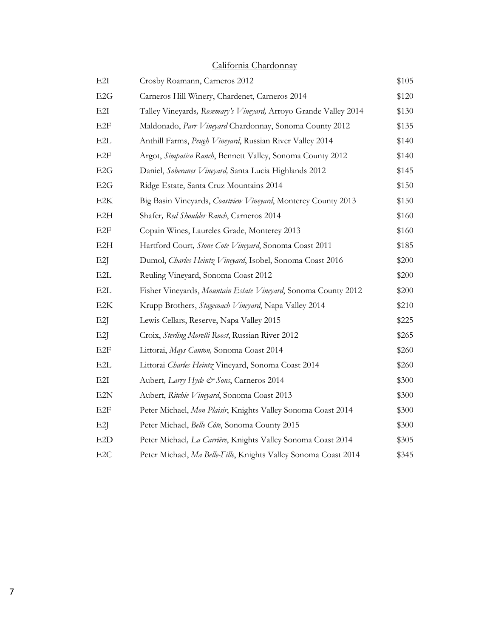# California Chardonnay

<span id="page-7-0"></span>

| E2I              | Crosby Roamann, Carneros 2012                                    | \$105 |
|------------------|------------------------------------------------------------------|-------|
| E <sub>2G</sub>  | Carneros Hill Winery, Chardenet, Carneros 2014                   | \$120 |
| E <sub>2</sub> I | Talley Vineyards, Rosemary's Vineyard, Arroyo Grande Valley 2014 | \$130 |
| E <sub>2F</sub>  | Maldonado, Parr Vineyard Chardonnay, Sonoma County 2012          | \$135 |
| E2L              | Anthill Farms, Peugh Vineyard, Russian River Valley 2014         | \$140 |
| E <sub>2F</sub>  | Argot, Simpatico Ranch, Bennett Valley, Sonoma County 2012       | \$140 |
| E <sub>2</sub> G | Daniel, Soberanes Vineyard, Santa Lucia Highlands 2012           | \$145 |
| E2G              | Ridge Estate, Santa Cruz Mountains 2014                          | \$150 |
| E2K              | Big Basin Vineyards, Coastview Vineyard, Monterey County 2013    | \$150 |
| E <sub>2</sub> H | Shafer, Red Shoulder Ranch, Carneros 2014                        | \$160 |
| E2F              | Copain Wines, Laureles Grade, Monterey 2013                      | \$160 |
| E <sub>2</sub> H | Hartford Court, Stone Cote Vineyard, Sonoma Coast 2011           | \$185 |
| E2               | Dumol, Charles Heintz Vineyard, Isobel, Sonoma Coast 2016        | \$200 |
| E <sub>2</sub> L | Reuling Vineyard, Sonoma Coast 2012                              | \$200 |
| E2L              | Fisher Vineyards, Mountain Estate Vineyard, Sonoma County 2012   | \$200 |
| E2K              | Krupp Brothers, Stagecoach Vineyard, Napa Valley 2014            | \$210 |
| E2               | Lewis Cellars, Reserve, Napa Valley 2015                         | \$225 |
| E2               | Croix, Sterling Morelli Roost, Russian River 2012                | \$265 |
| E <sub>2F</sub>  | Littorai, Mays Canton, Sonoma Coast 2014                         | \$260 |
| E <sub>2</sub> L | Littorai Charles Heintz Vineyard, Sonoma Coast 2014              | \$260 |
| E <sub>2</sub> I | Aubert, Larry Hyde & Sons, Carneros 2014                         | \$300 |
| E <sub>2</sub> N | Aubert, Ritchie Vineyard, Sonoma Coast 2013                      | \$300 |
| E <sub>2F</sub>  | Peter Michael, Mon Plaisir, Knights Valley Sonoma Coast 2014     | \$300 |
| E2               | Peter Michael, Belle Côte, Sonoma County 2015                    | \$300 |
| E <sub>2</sub> D | Peter Michael, La Carrière, Knights Valley Sonoma Coast 2014     | \$305 |
| E <sub>2</sub> C | Peter Michael, Ma Belle-Fille, Knights Valley Sonoma Coast 2014  | \$345 |
|                  |                                                                  |       |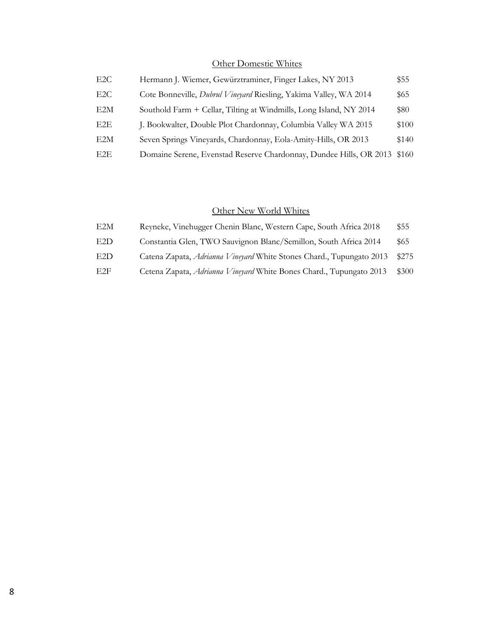# Other Domestic Whites

<span id="page-8-0"></span>

| E <sub>2C</sub>  | Hermann J. Wiemer, Gewürztraminer, Finger Lakes, NY 2013                 | \$55  |
|------------------|--------------------------------------------------------------------------|-------|
| E <sub>2C</sub>  | Cote Bonneville, <i>Dubrul Vineyard</i> Riesling, Yakima Valley, WA 2014 | \$65  |
| E2M              | Southold Farm + Cellar, Tilting at Windmills, Long Island, NY 2014       | \$80  |
| E <sub>2</sub> E | J. Bookwalter, Double Plot Chardonnay, Columbia Valley WA 2015           | \$100 |
| E2M              | Seven Springs Vineyards, Chardonnay, Eola-Amity-Hills, OR 2013           | \$140 |
| E <sub>2</sub> E | Domaine Serene, Evenstad Reserve Chardonnay, Dundee Hills, OR 2013 \$160 |       |

#### <span id="page-8-1"></span>Other New World Whites

| E2M | Reyneke, Vinehugger Chenin Blanc, Western Cape, South Africa 2018          | \$55  |
|-----|----------------------------------------------------------------------------|-------|
| E2D | Constantia Glen, TWO Sauvignon Blanc/Semillon, South Africa 2014           | \$65  |
| E2D | Catena Zapata, Adrianna Vineyard White Stones Chard., Tupungato 2013       | \$275 |
| E2F | Cetena Zapata, <i>Adrianna Vineyard</i> White Bones Chard., Tupungato 2013 | \$300 |
|     |                                                                            |       |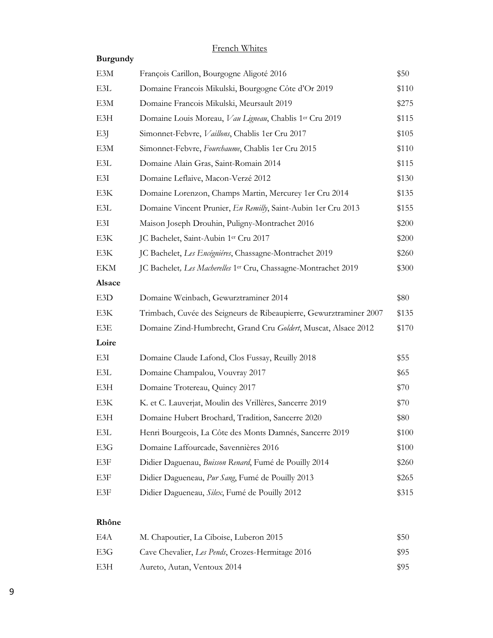# French Whites

#### <span id="page-9-0"></span>**Burgundy**

| E3M        | François Carillon, Bourgogne Aligoté 2016                          | \$50  |
|------------|--------------------------------------------------------------------|-------|
| E3L        | Domaine Francois Mikulski, Bourgogne Côte d'Or 2019                | \$110 |
| E3M        | Domaine Francois Mikulski, Meursault 2019                          | \$275 |
| E3H        | Domaine Louis Moreau, Vau Ligneau, Chablis 1er Cru 2019            | \$115 |
| E3J        | Simonnet-Febvre, Vaillons, Chablis 1er Cru 2017                    | \$105 |
| E3M        | Simonnet-Febvre, Fourchaume, Chablis 1 er Cru 2015                 | \$110 |
| E3L        | Domaine Alain Gras, Saint-Romain 2014                              | \$115 |
| E3I        | Domaine Leflaive, Macon-Verzé 2012                                 | \$130 |
| E3K        | Domaine Lorenzon, Champs Martin, Mercurey 1er Cru 2014             | \$135 |
| E3L        | Domaine Vincent Prunier, En Remilly, Saint-Aubin 1er Cru 2013      | \$155 |
| E3I        | Maison Joseph Drouhin, Puligny-Montrachet 2016                     | \$200 |
| E3K        | JC Bachelet, Saint-Aubin 1er Cru 2017                              | \$200 |
| E3K        | JC Bachelet, Les Encégniéres, Chassagne-Montrachet 2019            | \$260 |
| <b>EKM</b> | JC Bachelet, Les Macherelles 1er Cru, Chassagne-Montrachet 2019    | \$300 |
| Alsace     |                                                                    |       |
| E3D        | Domaine Weinbach, Gewurztraminer 2014                              | \$80  |
| E3K        | Trimbach, Cuvée des Seigneurs de Ribeaupierre, Gewurztraminer 2007 | \$135 |
| E3E        | Domaine Zind-Humbrecht, Grand Cru Goldert, Muscat, Alsace 2012     | \$170 |
| Loire      |                                                                    |       |
| E3I        | Domaine Claude Lafond, Clos Fussay, Reuilly 2018                   | \$55  |
| E3L        | Domaine Champalou, Vouvray 2017                                    | \$65  |
| E3H        | Domaine Trotereau, Quincy 2017                                     | \$70  |
| E3K        | K. et C. Lauverjat, Moulin des Vrillères, Sancerre 2019            | \$70  |
| E3H        | Domaine Hubert Brochard, Tradition, Sancerre 2020                  | \$80  |
| E3L        | Henri Bourgeois, La Côte des Monts Damnés, Sancerre 2019           | \$100 |
| E3G        | Domaine Laffourcade, Savennières 2016                              | \$100 |
| E3F        | Didier Daguenau, Buisson Renard, Fumé de Pouilly 2014              | \$260 |
| E3F        | Didier Dagueneau, Pur Sang, Fumé de Pouilly 2013                   | \$265 |
| E3F        | Didier Dagueneau, Silex, Fumé de Pouilly 2012                      | \$315 |
|            |                                                                    |       |

#### **Rhône**

| E4A | M. Chapoutier, La Ciboise, Luberon 2015          | \$50 |
|-----|--------------------------------------------------|------|
| E3G | Cave Chevalier, Les Pends, Crozes-Hermitage 2016 | \$95 |
| E3H | Aureto, Autan, Ventoux 2014                      | \$95 |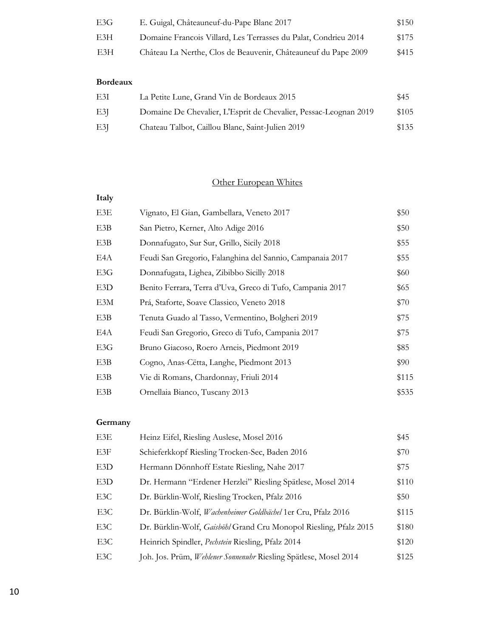| E3G  | E. Guigal, Châteauneuf-du-Pape Blanc 2017                       | \$150 |
|------|-----------------------------------------------------------------|-------|
| E3H. | Domaine Francois Villard, Les Terrasses du Palat, Condrieu 2014 | \$175 |
| E3H. | Château La Nerthe, Clos de Beauvenir, Châteauneuf du Pape 2009  | \$415 |

#### **Bordeaux**

| E3I | La Petite Lune, Grand Vin de Bordeaux 2015                       | \$45  |
|-----|------------------------------------------------------------------|-------|
| E3I | Domaine De Chevalier, L'Esprit de Chevalier, Pessac-Leognan 2019 | \$105 |
| E3I | Chateau Talbot, Caillou Blanc, Saint-Julien 2019                 | \$135 |

# Other European Whites

<span id="page-10-0"></span>

| Italy |                                                           |       |
|-------|-----------------------------------------------------------|-------|
| E3E   | Vignato, El Gian, Gambellara, Veneto 2017                 | \$50  |
| E3B   | San Pietro, Kerner, Alto Adige 2016                       | \$50  |
| E3B   | Donnafugato, Sur Sur, Grillo, Sicily 2018                 | \$55  |
| E4A   | Feudi San Gregorio, Falanghina del Sannio, Campanaia 2017 | \$55  |
| E3G   | Donnafugata, Lighea, Zibibbo Sicilly 2018                 | \$60  |
| E3D   | Benito Ferrara, Terra d'Uva, Greco di Tufo, Campania 2017 | \$65  |
| E3M   | Prá, Staforte, Soave Classico, Veneto 2018                | \$70  |
| E3B   | Tenuta Guado al Tasso, Vermentino, Bolgheri 2019          | \$75  |
| E4A   | Feudi San Gregorio, Greco di Tufo, Campania 2017          | \$75  |
| E3G   | Bruno Giacoso, Roero Arneis, Piedmont 2019                | \$85  |
| E3B   | Cogno, Anas-Cëtta, Langhe, Piedmont 2013                  | \$90  |
| E3B   | Vie di Romans, Chardonnay, Friuli 2014                    | \$115 |
| E3B   | Ornellaia Bianco, Tuscany 2013                            | \$535 |

#### **Germany**

| E3E | Heinz Eifel, Riesling Auslese, Mosel 2016                         | \$45  |
|-----|-------------------------------------------------------------------|-------|
| E3F | Schieferkkopf Riesling Trocken-Sec, Baden 2016                    | \$70  |
| E3D | Hermann Dönnhoff Estate Riesling, Nahe 2017                       | \$75  |
| E3D | Dr. Hermann "Erdener Herzlei" Riesling Spätlese, Mosel 2014       | \$110 |
| E3C | Dr. Bürklin-Wolf, Riesling Trocken, Pfalz 2016                    | \$50  |
| E3C | Dr. Bürklin-Wolf, Wachenheimer Goldbächel 1er Cru, Pfalz 2016     | \$115 |
| E3C | Dr. Bürklin-Wolf, Gaisböhl Grand Cru Monopol Riesling, Pfalz 2015 | \$180 |
| E3C | Heinrich Spindler, Pechstein Riesling, Pfalz 2014                 | \$120 |
| E3C | Joh. Jos. Prüm, Wehlener Sonnenuhr Riesling Spätlese, Mosel 2014  | \$125 |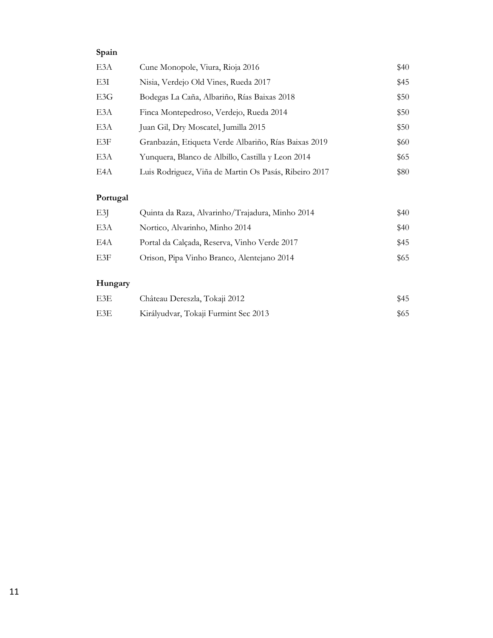#### **Spain**

| E3A | Cune Monopole, Viura, Rioja 2016                      | \$40 |
|-----|-------------------------------------------------------|------|
| E3I | Nisia, Verdejo Old Vines, Rueda 2017                  | \$45 |
| E3G | Bodegas La Caña, Albariño, Rías Baixas 2018           | \$50 |
| E3A | Finca Montepedroso, Verdejo, Rueda 2014               | \$50 |
| E3A | Juan Gil, Dry Moscatel, Jumilla 2015                  | \$50 |
| E3F | Granbazán, Etiqueta Verde Albariño, Rías Baixas 2019  | \$60 |
| E3A | Yunquera, Blanco de Albillo, Castilla y Leon 2014     | \$65 |
| E4A | Luis Rodriguez, Viña de Martin Os Pasás, Ribeiro 2017 | \$80 |

# **Portugal**

| E3I | Quinta da Raza, Alvarinho/Trajadura, Minho 2014 | \$40 |
|-----|-------------------------------------------------|------|
| E3A | Nortico, Alvarinho, Minho 2014                  | \$40 |
| E4A | Portal da Calçada, Reserva, Vinho Verde 2017    | \$45 |
| E3F | Orison, Pipa Vinho Branco, Alentejano 2014      | \$65 |

#### **Hungary**

| E3E | Château Dereszla, Tokaji 2012        | \$45 |
|-----|--------------------------------------|------|
| E3E | Királyudvar, Tokaji Furmint Sec 2013 | \$65 |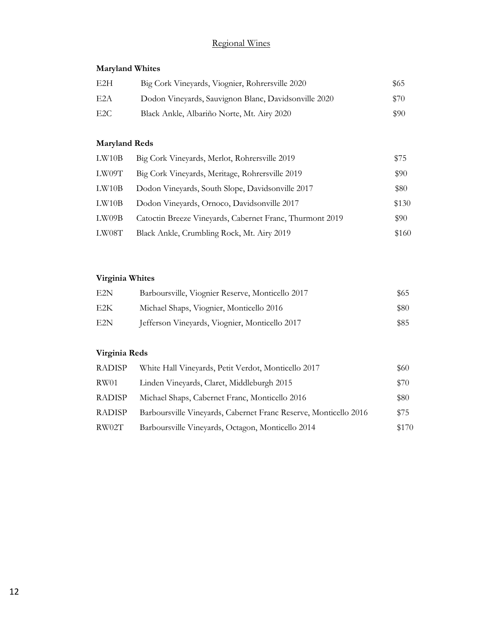# Regional Wines

#### <span id="page-12-0"></span>**Maryland Whites**

| E2H             | Big Cork Vineyards, Viognier, Rohrersville 2020      | \$65 |
|-----------------|------------------------------------------------------|------|
| E2A             | Dodon Vineyards, Sauvignon Blanc, Davidsonville 2020 | \$70 |
| E <sub>2C</sub> | Black Ankle, Albariño Norte, Mt. Airy 2020           | \$90 |

# **Maryland Reds**

| LW10B | Big Cork Vineyards, Merlot, Rohrersville 2019            | \$75  |
|-------|----------------------------------------------------------|-------|
| LW09T | Big Cork Vineyards, Meritage, Rohrersville 2019          | \$90  |
| LW10B | Dodon Vineyards, South Slope, Davidsonville 2017         | \$80  |
| LW10B | Dodon Vineyards, Ornoco, Davidsonville 2017              | \$130 |
| LW09B | Catoctin Breeze Vineyards, Cabernet Franc, Thurmont 2019 | \$90  |
| LW08T | Black Ankle, Crumbling Rock, Mt. Airy 2019               | \$160 |

#### **Virginia Whites**

| E2N | Barboursville, Viognier Reserve, Monticello 2017 | \$65 |
|-----|--------------------------------------------------|------|
| E2K | Michael Shaps, Viognier, Monticello 2016         | \$80 |
| E2N | Jefferson Vineyards, Viognier, Monticello 2017   | \$85 |

#### **Virginia Reds**

| <b>RADISP</b> | White Hall Vineyards, Petit Verdot, Monticello 2017              | \$60  |
|---------------|------------------------------------------------------------------|-------|
| RW01          | Linden Vineyards, Claret, Middleburgh 2015                       | \$70  |
| <b>RADISP</b> | Michael Shaps, Cabernet Franc, Monticello 2016                   | \$80  |
| <b>RADISP</b> | Barboursville Vineyards, Cabernet Franc Reserve, Monticello 2016 | \$75  |
| RW02T         | Barboursville Vineyards, Octagon, Monticello 2014                | \$170 |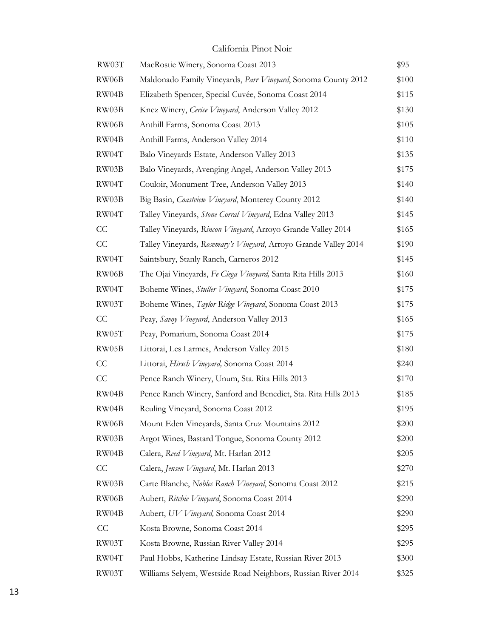#### California Pinot Noir

<span id="page-13-0"></span>

| RW03T | MacRostie Winery, Sonoma Coast 2013                              | \$95  |
|-------|------------------------------------------------------------------|-------|
| RW06B | Maldonado Family Vineyards, Parr Vineyard, Sonoma County 2012    | \$100 |
| RW04B | Elizabeth Spencer, Special Cuvée, Sonoma Coast 2014              | \$115 |
| RW03B | Knez Winery, Cerise Vineyard, Anderson Valley 2012               | \$130 |
| RW06B | Anthill Farms, Sonoma Coast 2013                                 | \$105 |
| RW04B | Anthill Farms, Anderson Valley 2014                              | \$110 |
| RW04T | Balo Vineyards Estate, Anderson Valley 2013                      | \$135 |
| RW03B | Balo Vineyards, Avenging Angel, Anderson Valley 2013             | \$175 |
| RW04T | Couloir, Monument Tree, Anderson Valley 2013                     | \$140 |
| RW03B | Big Basin, Coastview Vineyard, Monterey County 2012              | \$140 |
| RW04T | Talley Vineyards, Stone Corral Vineyard, Edna Valley 2013        | \$145 |
| CC    | Talley Vineyards, Rincon Vineyard, Arroyo Grande Valley 2014     | \$165 |
| CC    | Talley Vineyards, Rosemary's Vineyard, Arroyo Grande Valley 2014 | \$190 |
| RW04T | Saintsbury, Stanly Ranch, Carneros 2012                          | \$145 |
| RW06B | The Ojai Vineyards, Fe Ciega Vineyard, Santa Rita Hills 2013     | \$160 |
| RW04T | Boheme Wines, Stuller Vineyard, Sonoma Coast 2010                | \$175 |
| RW03T | Boheme Wines, Taylor Ridge Vineyard, Sonoma Coast 2013           | \$175 |
| CC    | Peay, Savoy Vineyard, Anderson Valley 2013                       | \$165 |
| RW05T | Peay, Pomarium, Sonoma Coast 2014                                | \$175 |
| RW05B | Littorai, Les Larmes, Anderson Valley 2015                       | \$180 |
| CC    | Littorai, Hirsch Vineyard, Sonoma Coast 2014                     | \$240 |
| CC    | Pence Ranch Winery, Unum, Sta. Rita Hills 2013                   | \$170 |
| RW04B | Pence Ranch Winery, Sanford and Benedict, Sta. Rita Hills 2013   | \$185 |
| RW04B | Reuling Vineyard, Sonoma Coast 2012                              | \$195 |
| RW06B | Mount Eden Vineyards, Santa Cruz Mountains 2012                  | \$200 |
| RW03B | Argot Wines, Bastard Tongue, Sonoma County 2012                  | \$200 |
| RW04B | Calera, Reed Vineyard, Mt. Harlan 2012                           | \$205 |
| CC    | Calera, Jensen Vineyard, Mt. Harlan 2013                         | \$270 |
| RW03B | Carte Blanche, Nobles Ranch Vineyard, Sonoma Coast 2012          | \$215 |
| RW06B | Aubert, Ritchie Vineyard, Sonoma Coast 2014                      | \$290 |
| RW04B | Aubert, UV Vineyard, Sonoma Coast 2014                           | \$290 |
| CC    | Kosta Browne, Sonoma Coast 2014                                  | \$295 |
| RW03T | Kosta Browne, Russian River Valley 2014                          | \$295 |
| RW04T | Paul Hobbs, Katherine Lindsay Estate, Russian River 2013         | \$300 |
| RW03T | Williams Selyem, Westside Road Neighbors, Russian River 2014     | \$325 |
|       |                                                                  |       |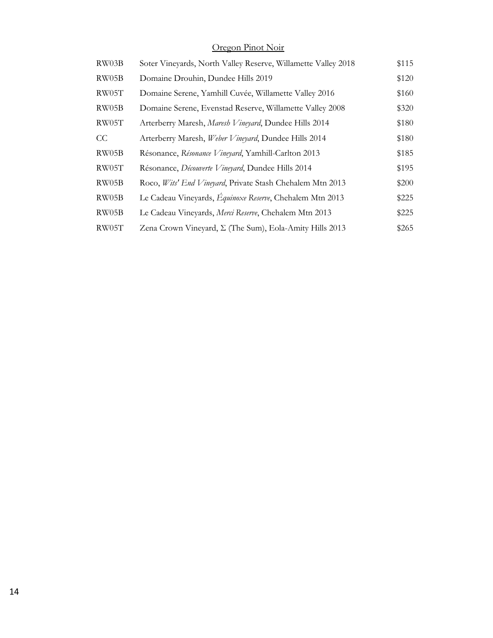# Oregon Pinot Noir

<span id="page-14-0"></span>

| RW03B | Soter Vineyards, North Valley Reserve, Willamette Valley 2018    | \$115 |
|-------|------------------------------------------------------------------|-------|
| RW05B | Domaine Drouhin, Dundee Hills 2019                               | \$120 |
| RW05T | Domaine Serene, Yamhill Cuvée, Willamette Valley 2016            | \$160 |
| RW05B | Domaine Serene, Evenstad Reserve, Willamette Valley 2008         | \$320 |
| RW05T | Arterberry Maresh, Maresh Vineyard, Dundee Hills 2014            | \$180 |
| CC    | Arterberry Maresh, Weber Vineyard, Dundee Hills 2014             | \$180 |
| RW05B | Résonance, Résonance Vineyard, Yamhill-Carlton 2013              | \$185 |
| RW05T | Résonance, <i>Découverte Vineyard</i> , Dundee Hills 2014        | \$195 |
| RW05B | Roco, Wits' End Vineyard, Private Stash Chehalem Mtn 2013        | \$200 |
| RW05B | Le Cadeau Vineyards, <i>Équinoxe Reserve</i> , Chehalem Mtn 2013 | \$225 |
| RW05B | Le Cadeau Vineyards, Merci Reserve, Chehalem Mtn 2013            | \$225 |
| RW05T | Zena Crown Vineyard, $\Sigma$ (The Sum), Eola-Amity Hills 2013   | \$265 |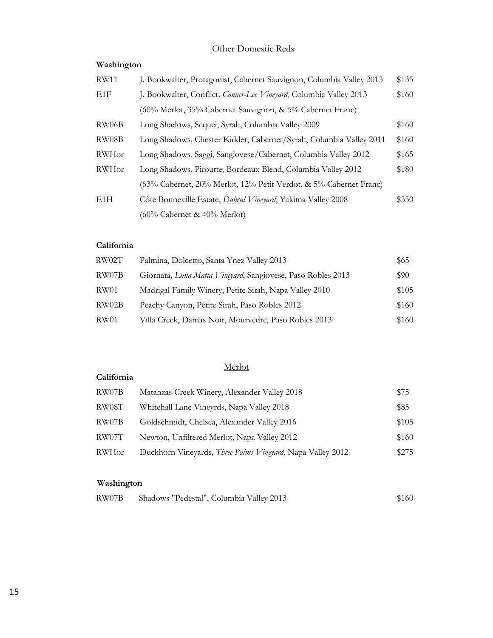#### Other Domestic Reds

#### <span id="page-15-0"></span>**Washington**

| <b>RW11</b>      | J. Bookwalter, Protagonist, Cabernet Sauvignon, Columbia Valley 2013        | \$135 |  |  |
|------------------|-----------------------------------------------------------------------------|-------|--|--|
| E <sub>1</sub> F | J. Bookwalter, Conflict, Conner-Lee Vineyard, Columbia Valley 2013<br>\$160 |       |  |  |
|                  | (60% Merlot, 35% Cabernet Sauvignon, & 5% Cabernet Franc)                   |       |  |  |
| RW06B            | Long Shadows, Sequel, Syrah, Columbia Valley 2009                           | \$160 |  |  |
| RW08B            | Long Shadows, Chester Kidder, Cabernet/Syrah, Columbia Valley 2011          | \$160 |  |  |
| RWHor            | Long Shadows, Saggi, Sangiovese/Cabernet, Columbia Valley 2012              | \$165 |  |  |
| RWHor            | Long Shadows, Piroutte, Bordeaux Blend, Columbia Valley 2012                | \$180 |  |  |
|                  | (63% Cabernet, 20% Merlot, 12% Petit Verdot, & 5% Cabernet Franc)           |       |  |  |
| E1H              | Côte Bonneville Estate, Dubrul Vineyard, Yakima Valley 2008                 | \$350 |  |  |
|                  | $(60\%$ Cabernet & $40\%$ Merlot)                                           |       |  |  |

#### **California**

| RW02T | Palmina, Dolcetto, Santa Ynez Valley 2013                   | \$65  |
|-------|-------------------------------------------------------------|-------|
| RW07B | Giornata, Luna Matta Vineyard, Sangiovese, Paso Robles 2013 | \$90  |
| RW01  | Madrigal Family Winery, Petite Sirah, Napa Valley 2010      | \$105 |
| RW02B | Peachy Canyon, Petite Sirah, Paso Robles 2012               | \$160 |
| RW01  | Villa Creek, Damas Noir, Mourvèdre, Paso Robles 2013        | \$160 |

# Merlot

| RW07B | Matanzas Creek Winery, Alexander Valley 2018               | \$75  |
|-------|------------------------------------------------------------|-------|
| RW08T | Whitehall Lane Vineyrds, Napa Valley 2018                  | \$85  |
| RW07B | Goldschmidt, Chelsea, Alexander Valley 2016                | \$105 |
| RW07T | Newton, Unfiltered Merlot, Napa Valley 2012                | \$160 |
| RWHor | Duckhorn Vineyards, Three Palms Vineyard, Napa Valley 2012 | \$275 |

#### **Washington**

<span id="page-15-1"></span>**California**

| RW07B |  | Shadows "Pedestal", Columbia Valley 2013 | \$160 |
|-------|--|------------------------------------------|-------|
|-------|--|------------------------------------------|-------|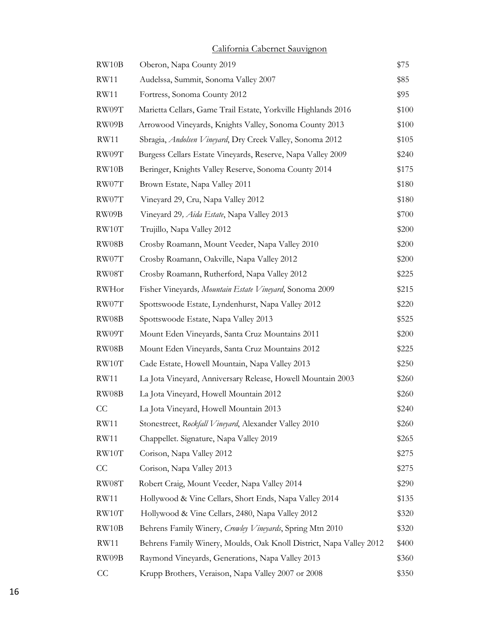#### California Cabernet Sauvignon

<span id="page-16-0"></span>

| RW10B       | Oberon, Napa County 2019                                             | \$75  |
|-------------|----------------------------------------------------------------------|-------|
| <b>RW11</b> | Audelssa, Summit, Sonoma Valley 2007                                 | \$85  |
| <b>RW11</b> | Fortress, Sonoma County 2012                                         | \$95  |
| RW09T       | Marietta Cellars, Game Trail Estate, Yorkville Highlands 2016        | \$100 |
| RW09B       | Arrowood Vineyards, Knights Valley, Sonoma County 2013               | \$100 |
| <b>RW11</b> | Sbragia, Andolsen Vineyard, Dry Creek Valley, Sonoma 2012            | \$105 |
| RW09T       | Burgess Cellars Estate Vineyards, Reserve, Napa Valley 2009          | \$240 |
| RW10B       | Beringer, Knights Valley Reserve, Sonoma County 2014                 | \$175 |
| RW07T       | Brown Estate, Napa Valley 2011                                       | \$180 |
| RW07T       | Vineyard 29, Cru, Napa Valley 2012                                   | \$180 |
| RW09B       | Vineyard 29, Aida Estate, Napa Valley 2013                           | \$700 |
| RW10T       | Trujillo, Napa Valley 2012                                           | \$200 |
| RW08B       | Crosby Roamann, Mount Veeder, Napa Valley 2010                       | \$200 |
| RW07T       | Crosby Roamann, Oakville, Napa Valley 2012                           | \$200 |
| RW08T       | Crosby Roamann, Rutherford, Napa Valley 2012                         | \$225 |
| RWHor       | Fisher Vineyards, Mountain Estate Vineyard, Sonoma 2009              | \$215 |
| RW07T       | Spottswoode Estate, Lyndenhurst, Napa Valley 2012                    | \$220 |
| RW08B       | Spottswoode Estate, Napa Valley 2013                                 | \$525 |
| RW09T       | Mount Eden Vineyards, Santa Cruz Mountains 2011                      | \$200 |
| RW08B       | Mount Eden Vineyards, Santa Cruz Mountains 2012                      | \$225 |
| RW10T       | Cade Estate, Howell Mountain, Napa Valley 2013                       | \$250 |
| <b>RW11</b> | La Jota Vineyard, Anniversary Release, Howell Mountain 2003          | \$260 |
| RW08B       | La Jota Vineyard, Howell Mountain 2012                               | \$260 |
| CC          | La Jota Vineyard, Howell Mountain 2013                               | \$240 |
| <b>RW11</b> | Stonestreet, Rockfall Vineyard, Alexander Valley 2010                | \$260 |
| <b>RW11</b> | Chappellet. Signature, Napa Valley 2019                              | \$265 |
| RW10T       | Corison, Napa Valley 2012                                            | \$275 |
| CC          | Corison, Napa Valley 2013                                            | \$275 |
| RW08T       | Robert Craig, Mount Veeder, Napa Valley 2014                         | \$290 |
| <b>RW11</b> | Hollywood & Vine Cellars, Short Ends, Napa Valley 2014               | \$135 |
| RW10T       | Hollywood & Vine Cellars, 2480, Napa Valley 2012                     | \$320 |
| RW10B       | Behrens Family Winery, Crowley Vineyards, Spring Mtn 2010            | \$320 |
| <b>RW11</b> | Behrens Family Winery, Moulds, Oak Knoll District, Napa Valley 2012. | \$400 |
| RW09B       | Raymond Vineyards, Generations, Napa Valley 2013                     | \$360 |
| CC          | Krupp Brothers, Veraison, Napa Valley 2007 or 2008                   | \$350 |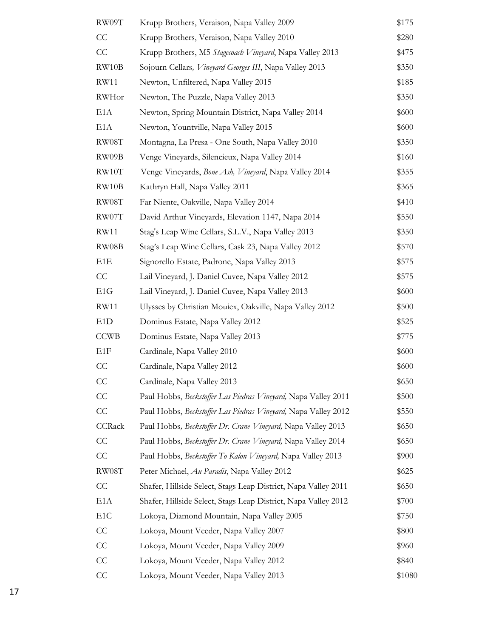| RW09T            | Krupp Brothers, Veraison, Napa Valley 2009                     | \$175  |
|------------------|----------------------------------------------------------------|--------|
| CC               | Krupp Brothers, Veraison, Napa Valley 2010                     | \$280  |
| CC               | Krupp Brothers, M5 Stagecoach Vineyard, Napa Valley 2013       | \$475  |
| RW10B            | Sojourn Cellars, Vineyard Georges III, Napa Valley 2013        | \$350  |
| <b>RW11</b>      | Newton, Unfiltered, Napa Valley 2015                           | \$185  |
| RWHor            | Newton, The Puzzle, Napa Valley 2013                           | \$350  |
| E <sub>1</sub> A | Newton, Spring Mountain District, Napa Valley 2014             | \$600  |
| E <sub>1</sub> A | Newton, Yountville, Napa Valley 2015                           | \$600  |
| RW08T            | Montagna, La Presa - One South, Napa Valley 2010               | \$350  |
| RW09B            | Venge Vineyards, Silencieux, Napa Valley 2014                  | \$160  |
| RW10T            | Venge Vineyards, Bone Ash, Vineyard, Napa Valley 2014          | \$355  |
| RW10B            | Kathryn Hall, Napa Valley 2011                                 | \$365  |
| RW08T            | Far Niente, Oakville, Napa Valley 2014                         | \$410  |
| RW07T            | David Arthur Vineyards, Elevation 1147, Napa 2014              | \$550  |
| <b>RW11</b>      | Stag's Leap Wine Cellars, S.L.V., Napa Valley 2013             | \$350  |
| RW08B            | Stag's Leap Wine Cellars, Cask 23, Napa Valley 2012            | \$570  |
| E <sub>1</sub> E | Signorello Estate, Padrone, Napa Valley 2013                   | \$575  |
| CC               | Lail Vineyard, J. Daniel Cuvee, Napa Valley 2012               | \$575  |
| E1G              | Lail Vineyard, J. Daniel Cuvee, Napa Valley 2013               | \$600  |
| <b>RW11</b>      | Ulysses by Christian Mouiex, Oakville, Napa Valley 2012        | \$500  |
| E1D              | Dominus Estate, Napa Valley 2012                               | \$525  |
| <b>CCWB</b>      | Dominus Estate, Napa Valley 2013                               | \$775  |
| E <sub>1F</sub>  | Cardinale, Napa Valley 2010                                    | \$600  |
| CC               | Cardinale, Napa Valley 2012                                    | \$600  |
| CC               | Cardinale, Napa Valley 2013                                    | \$650  |
| CC               | Paul Hobbs, Beckstoffer Las Piedras Vineyard, Napa Valley 2011 | \$500  |
| CC               | Paul Hobbs, Beckstoffer Las Piedras Vineyard, Napa Valley 2012 | \$550  |
| CCRack           | Paul Hobbs, Beckstoffer Dr. Crane Vineyard, Napa Valley 2013   | \$650  |
| CC               | Paul Hobbs, Beckstoffer Dr. Crane Vineyard, Napa Valley 2014   | \$650  |
| CC               | Paul Hobbs, Beckstoffer To Kalon Vineyard, Napa Valley 2013    | \$900  |
| RW08T            | Peter Michael, Au Paradis, Napa Valley 2012                    | \$625  |
| CC               | Shafer, Hillside Select, Stags Leap District, Napa Valley 2011 | \$650  |
| E <sub>1</sub> A | Shafer, Hillside Select, Stags Leap District, Napa Valley 2012 | \$700  |
| E1C              | Lokoya, Diamond Mountain, Napa Valley 2005                     | \$750  |
| CC               | Lokoya, Mount Veeder, Napa Valley 2007                         | \$800  |
| CC               | Lokoya, Mount Veeder, Napa Valley 2009                         | \$960  |
| CC               | Lokoya, Mount Veeder, Napa Valley 2012                         | \$840  |
| CC               | Lokoya, Mount Veeder, Napa Valley 2013                         | \$1080 |
|                  |                                                                |        |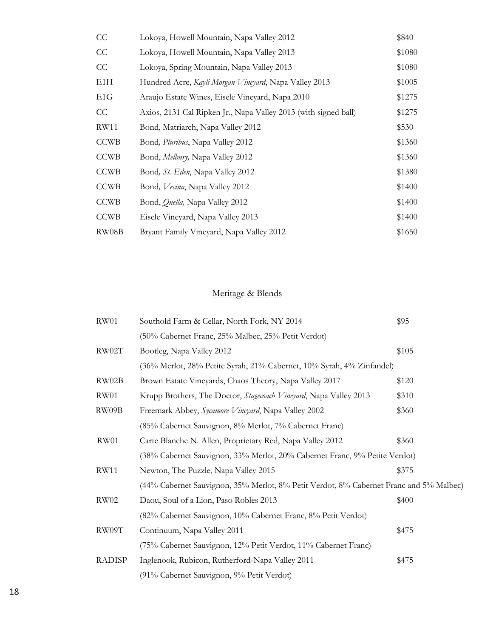| CC          | Lokoya, Howell Mountain, Napa Valley 2012                       | \$840  |
|-------------|-----------------------------------------------------------------|--------|
| CC          | Lokoya, Howell Mountain, Napa Valley 2013                       | \$1080 |
| CC          | Lokoya, Spring Mountain, Napa Valley 2013                       | \$1080 |
| E1H         | Hundred Acre, Kayli Morgan Vineyard, Napa Valley 2013           | \$1005 |
| E1G         | Araujo Estate Wines, Eisele Vineyard, Napa 2010                 | \$1275 |
| CC          | Axios, 2131 Cal Ripken Jr., Napa Valley 2013 (with signed ball) | \$1275 |
| <b>RW11</b> | Bond, Matriarch, Napa Valley 2012                               | \$530  |
| <b>CCWB</b> | Bond, Pluribus, Napa Valley 2012                                | \$1360 |
| <b>CCWB</b> | Bond, Melbury, Napa Valley 2012                                 | \$1360 |
| <b>CCWB</b> | Bond, St. Eden, Napa Valley 2012                                | \$1380 |
| <b>CCWB</b> | Bond, Vecina, Napa Valley 2012                                  | \$1400 |
| <b>CCWB</b> | Bond, Quella, Napa Valley 2012                                  | \$1400 |
| <b>CCWB</b> | Eisele Vineyard, Napa Valley 2013                               | \$1400 |
| RW08B       | Bryant Family Vineyard, Napa Valley 2012                        | \$1650 |

# Meritage & Blends

<span id="page-18-0"></span>

| RW01          | Southold Farm & Cellar, North Fork, NY 2014                                            | \$95  |
|---------------|----------------------------------------------------------------------------------------|-------|
|               | (50% Cabernet Franc, 25% Malbec, 25% Petit Verdot)                                     |       |
| RW02T         | Bootleg, Napa Valley 2012                                                              | \$105 |
|               | (36% Merlot, 28% Petite Syrah, 21% Cabernet, 10% Syrah, 4% Zinfandel)                  |       |
| RW02B         | Brown Estate Vineyards, Chaos Theory, Napa Valley 2017                                 | \$120 |
| RW01          | Krupp Brothers, The Doctor, Stagecoach Vineyard, Napa Valley 2013                      | \$310 |
| RW09B         | Freemark Abbey, Sycamore Vineyard, Napa Valley 2002                                    | \$360 |
|               | (85% Cabernet Sauvignon, 8% Merlot, 7% Cabernet Franc)                                 |       |
| RW01          | Carte Blanche N. Allen, Proprietary Red, Napa Valley 2012                              | \$360 |
|               | (38% Cabernet Sauvignon, 33% Merlot, 20% Cabernet Franc, 9% Petite Verdot)             |       |
| <b>RW11</b>   | Newton, The Puzzle, Napa Valley 2015                                                   | \$375 |
|               | (44% Cabernet Sauvignon, 35% Merlot, 8% Petit Verdot, 8% Cabernet Franc and 5% Malbec) |       |
| RW02          | Daou, Soul of a Lion, Paso Robles 2013                                                 | \$400 |
|               | (82% Cabernet Sauvignon, 10% Cabernet Franc, 8% Petit Verdot)                          |       |
| RW09T         | Continuum, Napa Valley 2011                                                            | \$475 |
|               | (75% Cabernet Sauvignon, 12% Petit Verdot, 11% Cabernet Franc)                         |       |
| <b>RADISP</b> | Inglenook, Rubicon, Rutherford-Napa Valley 2011                                        | \$475 |
|               | (91% Cabernet Sauvignon, 9% Petit Verdot)                                              |       |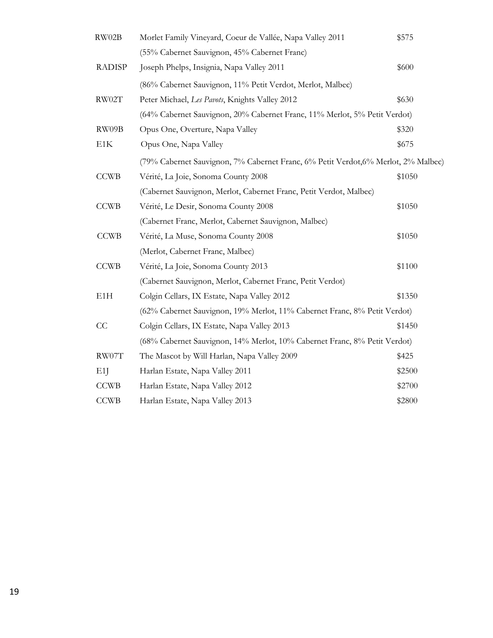| RW02B         | Morlet Family Vineyard, Coeur de Vallée, Napa Valley 2011                          | \$575  |
|---------------|------------------------------------------------------------------------------------|--------|
|               | (55% Cabernet Sauvignon, 45% Cabernet Franc)                                       |        |
| <b>RADISP</b> | Joseph Phelps, Insignia, Napa Valley 2011                                          | \$600  |
|               | (86% Cabernet Sauvignon, 11% Petit Verdot, Merlot, Malbec)                         |        |
| RW02T         | Peter Michael, Les Pavots, Knights Valley 2012                                     | \$630  |
|               | (64% Cabernet Sauvignon, 20% Cabernet Franc, 11% Merlot, 5% Petit Verdot)          |        |
| RW09B         | Opus One, Overture, Napa Valley                                                    | \$320  |
| E1K           | Opus One, Napa Valley                                                              | \$675  |
|               | (79% Cabernet Sauvignon, 7% Cabernet Franc, 6% Petit Verdot, 6% Merlot, 2% Malbec) |        |
| <b>CCWB</b>   | Vérité, La Joie, Sonoma County 2008                                                | \$1050 |
|               | (Cabernet Sauvignon, Merlot, Cabernet Franc, Petit Verdot, Malbec)                 |        |
| <b>CCWB</b>   | Vérité, Le Desir, Sonoma County 2008                                               | \$1050 |
|               | (Cabernet Franc, Merlot, Cabernet Sauvignon, Malbec)                               |        |
| <b>CCWB</b>   | Vérité, La Muse, Sonoma County 2008                                                | \$1050 |
|               | (Merlot, Cabernet Franc, Malbec)                                                   |        |
| <b>CCWB</b>   | Vérité, La Joie, Sonoma County 2013                                                | \$1100 |
|               | (Cabernet Sauvignon, Merlot, Cabernet Franc, Petit Verdot)                         |        |
| E1H           | Colgin Cellars, IX Estate, Napa Valley 2012                                        | \$1350 |
|               | (62% Cabernet Sauvignon, 19% Merlot, 11% Cabernet Franc, 8% Petit Verdot)          |        |
| $\rm CC$      | Colgin Cellars, IX Estate, Napa Valley 2013                                        | \$1450 |
|               | (68% Cabernet Sauvignon, 14% Merlot, 10% Cabernet Franc, 8% Petit Verdot)          |        |
| RW07T         | The Mascot by Will Harlan, Napa Valley 2009                                        | \$425  |
| E1            | Harlan Estate, Napa Valley 2011                                                    | \$2500 |
| <b>CCWB</b>   | Harlan Estate, Napa Valley 2012                                                    | \$2700 |
| <b>CCWB</b>   | Harlan Estate, Napa Valley 2013                                                    | \$2800 |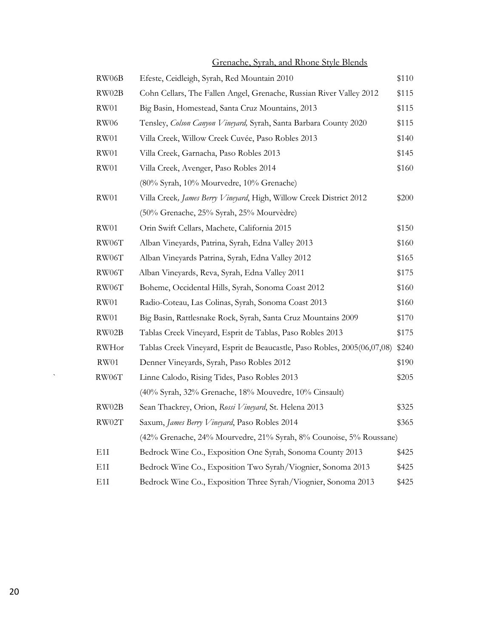<span id="page-20-0"></span>

| RW06B        | Efeste, Ceidleigh, Syrah, Red Mountain 2010                              | \$110 |
|--------------|--------------------------------------------------------------------------|-------|
| RW02B        | Cohn Cellars, The Fallen Angel, Grenache, Russian River Valley 2012      | \$115 |
| RW01         | Big Basin, Homestead, Santa Cruz Mountains, 2013                         | \$115 |
| <b>RW06</b>  | Tensley, Colson Canyon Vineyard, Syrah, Santa Barbara County 2020        | \$115 |
| RW01         | Villa Creek, Willow Creek Cuvée, Paso Robles 2013                        | \$140 |
| RW01         | Villa Creek, Garnacha, Paso Robles 2013                                  | \$145 |
| RW01         | Villa Creek, Avenger, Paso Robles 2014                                   | \$160 |
|              | (80% Syrah, 10% Mourvedre, 10% Grenache)                                 |       |
| RW01         | Villa Creek, James Berry Vineyard, High, Willow Creek District 2012      | \$200 |
|              | (50% Grenache, 25% Syrah, 25% Mourvèdre)                                 |       |
| RW01         | Orin Swift Cellars, Machete, California 2015                             | \$150 |
| RW06T        | Alban Vineyards, Patrina, Syrah, Edna Valley 2013                        | \$160 |
| RW06T        | Alban Vineyards Patrina, Syrah, Edna Valley 2012                         | \$165 |
| RW06T        | Alban Vineyards, Reva, Syrah, Edna Valley 2011                           | \$175 |
| RW06T        | Boheme, Occidental Hills, Syrah, Sonoma Coast 2012                       | \$160 |
| RW01         | Radio-Coteau, Las Colinas, Syrah, Sonoma Coast 2013                      | \$160 |
| RW01         | Big Basin, Rattlesnake Rock, Syrah, Santa Cruz Mountains 2009            | \$170 |
| RW02B        | Tablas Creek Vineyard, Esprit de Tablas, Paso Robles 2013                | \$175 |
| <b>RWHor</b> | Tablas Creek Vineyard, Esprit de Beaucastle, Paso Robles, 2005(06,07,08) | \$240 |
| RW01         | Denner Vineyards, Syrah, Paso Robles 2012                                | \$190 |
| RW06T        | Linne Calodo, Rising Tides, Paso Robles 2013                             | \$205 |
|              | (40% Syrah, 32% Grenache, 18% Mouvedre, 10% Cinsault)                    |       |
| RW02B        | Sean Thackrey, Orion, Rossi Vineyard, St. Helena 2013                    | \$325 |
| RW02T        | Saxum, James Berry Vineyard, Paso Robles 2014                            | \$365 |
|              | (42% Grenache, 24% Mourvedre, 21% Syrah, 8% Counoise, 5% Roussane)       |       |
| E1I          | Bedrock Wine Co., Exposition One Syrah, Sonoma County 2013               | \$425 |
| E1I          | Bedrock Wine Co., Exposition Two Syrah/Viognier, Sonoma 2013             | \$425 |
| E1I          | Bedrock Wine Co., Exposition Three Syrah/Viognier, Sonoma 2013           | \$425 |
|              |                                                                          |       |

# Grenache, Syrah, and Rhone Style Blends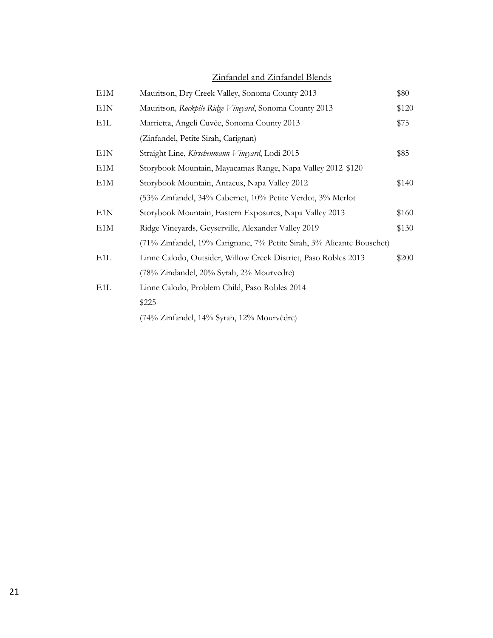Zinfandel and Zinfandel Blends

<span id="page-21-0"></span>

| E1M              | Mauritson, Dry Creek Valley, Sonoma County 2013                       | \$80  |
|------------------|-----------------------------------------------------------------------|-------|
| E1N              | Mauritson, Rockpile Ridge Vineyard, Sonoma County 2013                | \$120 |
| E <sub>1</sub> L | Marrietta, Angeli Cuvée, Sonoma County 2013                           | \$75  |
|                  | (Zinfandel, Petite Sirah, Carignan)                                   |       |
| E1N              | Straight Line, Kirschenmann Vineyard, Lodi 2015                       | \$85  |
| E1M              | Storybook Mountain, Mayacamas Range, Napa Valley 2012 \$120           |       |
| E1M              | Storybook Mountain, Antaeus, Napa Valley 2012                         | \$140 |
|                  | (53% Zinfandel, 34% Cabernet, 10% Petite Verdot, 3% Merlot            |       |
| E1N              | Storybook Mountain, Eastern Exposures, Napa Valley 2013               | \$160 |
| E1M              | Ridge Vineyards, Geyserville, Alexander Valley 2019                   | \$130 |
|                  | (71% Zinfandel, 19% Carignane, 7% Petite Sirah, 3% Alicante Bouschet) |       |
| E <sub>1</sub> L | Linne Calodo, Outsider, Willow Creek District, Paso Robles 2013       | \$200 |
|                  | (78% Zindandel, 20% Syrah, 2% Mourvedre)                              |       |
| E <sub>1</sub> L | Linne Calodo, Problem Child, Paso Robles 2014                         |       |
|                  | \$225                                                                 |       |
|                  | (74% Zinfandel, 14% Syrah, 12% Mourvèdre)                             |       |
|                  |                                                                       |       |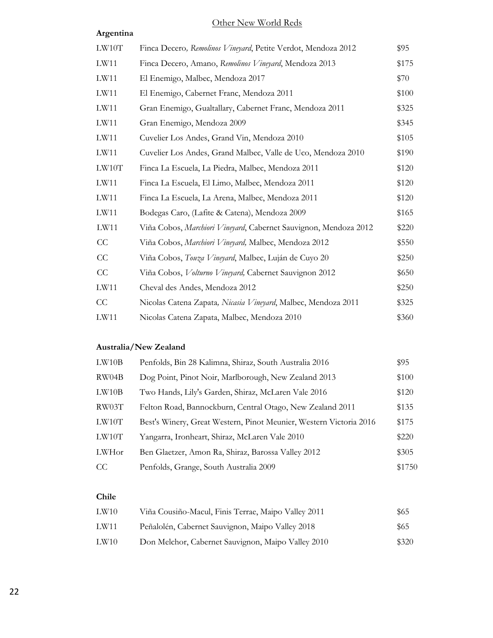#### Other New World Reds

<span id="page-22-0"></span>

| Argentina |                                                                  |       |
|-----------|------------------------------------------------------------------|-------|
| LW10T     | Finca Decero, Remolinos Vineyard, Petite Verdot, Mendoza 2012    | \$95  |
| LW11      | Finca Decero, Amano, Remolinos Vineyard, Mendoza 2013            | \$175 |
| LW11      | El Enemigo, Malbec, Mendoza 2017                                 | \$70  |
| LW11      | El Enemigo, Cabernet Franc, Mendoza 2011                         | \$100 |
| LW11      | Gran Enemigo, Gualtallary, Cabernet Franc, Mendoza 2011          | \$325 |
| LW11      | Gran Enemigo, Mendoza 2009                                       | \$345 |
| LW11      | Cuvelier Los Andes, Grand Vin, Mendoza 2010                      | \$105 |
| LW11      | Cuvelier Los Andes, Grand Malbec, Valle de Uco, Mendoza 2010     | \$190 |
| LW10T     | Finca La Escuela, La Piedra, Malbec, Mendoza 2011                | \$120 |
| LW11      | Finca La Escuela, El Limo, Malbec, Mendoza 2011                  | \$120 |
| LW11      | Finca La Escuela, La Arena, Malbec, Mendoza 2011                 | \$120 |
| LW11      | Bodegas Caro, (Lafite & Catena), Mendoza 2009                    | \$165 |
| LW11      | Viña Cobos, Marchiori Vineyard, Cabernet Sauvignon, Mendoza 2012 | \$220 |
| CC        | Viña Cobos, Marchiori Vineyard, Malbec, Mendoza 2012             | \$550 |
| CC        | Viña Cobos, Touza Vineyard, Malbec, Luján de Cuyo 20             | \$250 |
| CC        | Viña Cobos, Volturno Vineyard, Cabernet Sauvignon 2012           | \$650 |
| LW11      | Cheval des Andes, Mendoza 2012                                   | \$250 |
| CC        | Nicolas Catena Zapata, Nicasia Vineyard, Malbec, Mendoza 2011    | \$325 |
| LW11      | Nicolas Catena Zapata, Malbec, Mendoza 2010                      | \$360 |

#### **Australia/New Zealand**

| LW10B | Penfolds, Bin 28 Kalimna, Shiraz, South Australia 2016             | \$95   |
|-------|--------------------------------------------------------------------|--------|
| RW04B | Dog Point, Pinot Noir, Marlborough, New Zealand 2013               | \$100  |
| LW10B | Two Hands, Lily's Garden, Shiraz, McLaren Vale 2016                | \$120  |
| RW03T | Felton Road, Bannockburn, Central Otago, New Zealand 2011          | \$135  |
| LW10T | Best's Winery, Great Western, Pinot Meunier, Western Victoria 2016 | \$175  |
| LW10T | Yangarra, Ironheart, Shiraz, McLaren Vale 2010                     | \$220  |
| LWHor | Ben Glaetzer, Amon Ra, Shiraz, Barossa Valley 2012                 | \$305  |
| CC    | Penfolds, Grange, South Australia 2009                             | \$1750 |

#### **Chile**

| LW <sub>10</sub> | Viña Cousiño-Macul, Finis Terrae, Maipo Valley 2011 | \$65  |
|------------------|-----------------------------------------------------|-------|
| LW11             | Peñalolén, Cabernet Sauvignon, Maipo Valley 2018    | \$65  |
| LW <sub>10</sub> | Don Melchor, Cabernet Sauvignon, Maipo Valley 2010  | \$320 |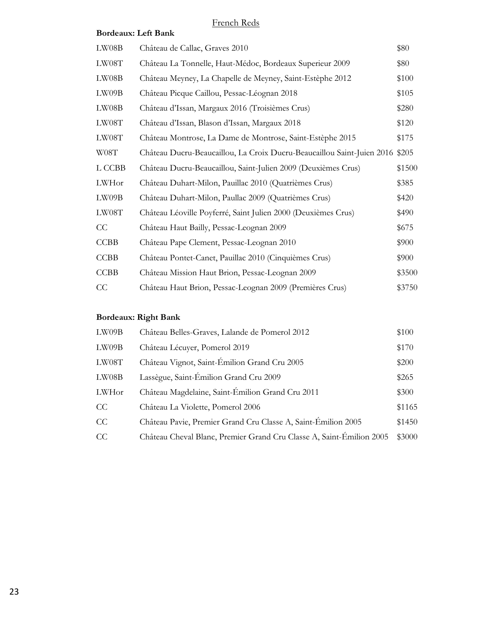#### French Reds

#### <span id="page-23-0"></span>**Bordeaux: Left Bank**

| LW08B       | Château de Callac, Graves 2010                                         | \$80   |
|-------------|------------------------------------------------------------------------|--------|
| LW08T       | Château La Tonnelle, Haut-Médoc, Bordeaux Superieur 2009               | \$80   |
| LW08B       | Château Meyney, La Chapelle de Meyney, Saint-Estèphe 2012              | \$100  |
| LW09B       | Château Picque Caillou, Pessac-Léognan 2018                            | \$105  |
| LW08B       | Château d'Issan, Margaux 2016 (Troisièmes Crus)                        | \$280  |
| LW08T       | Château d'Issan, Blason d'Issan, Margaux 2018                          | \$120  |
| LW08T       | Château Montrose, La Dame de Montrose, Saint-Estèphe 2015              | \$175  |
| W08T        | Château Ducru-Beaucaillou, La Croix Ducru-Beaucaillou Saint-Juien 2016 | \$205  |
| L CCBB      | Château Ducru-Beaucaillou, Saint-Julien 2009 (Deuxièmes Crus)          | \$1500 |
| LWHor       | Château Duhart-Milon, Pauillac 2010 (Quatrièmes Crus)                  | \$385  |
| LW09B       | Château Duhart-Milon, Paullac 2009 (Quatrièmes Crus)                   | \$420  |
| LW08T       | Château Léoville Poyferré, Saint Julien 2000 (Deuxièmes Crus)          | \$490  |
| CC          | Château Haut Bailly, Pessac-Leognan 2009                               | \$675  |
| <b>CCBB</b> | Château Pape Clement, Pessac-Leognan 2010                              | \$900  |
| <b>CCBB</b> | Château Pontet-Canet, Pauillac 2010 (Cinquièmes Crus)                  | \$900  |
| <b>CCBB</b> | Château Mission Haut Brion, Pessac-Leognan 2009                        | \$3500 |
| CC          | Château Haut Brion, Pessac-Leognan 2009 (Premières Crus)               | \$3750 |

#### **Bordeaux: Right Bank**

| LW09B | Château Belles-Graves, Lalande de Pomerol 2012                       | \$100  |
|-------|----------------------------------------------------------------------|--------|
| LW09B | Château Lécuyer, Pomerol 2019                                        | \$170  |
| LW08T | Château Vignot, Saint-Émilion Grand Cru 2005                         | \$200  |
| LW08B | Lassègue, Saint-Émilion Grand Cru 2009                               | \$265  |
| LWHor | Château Magdelaine, Saint-Émilion Grand Cru 2011                     | \$300  |
| CC    | Château La Violette, Pomerol 2006                                    | \$1165 |
| CC    | Château Pavie, Premier Grand Cru Classe A, Saint-Émilion 2005        | \$1450 |
| CC    | Château Cheval Blanc, Premier Grand Cru Classe A, Saint-Émilion 2005 | \$3000 |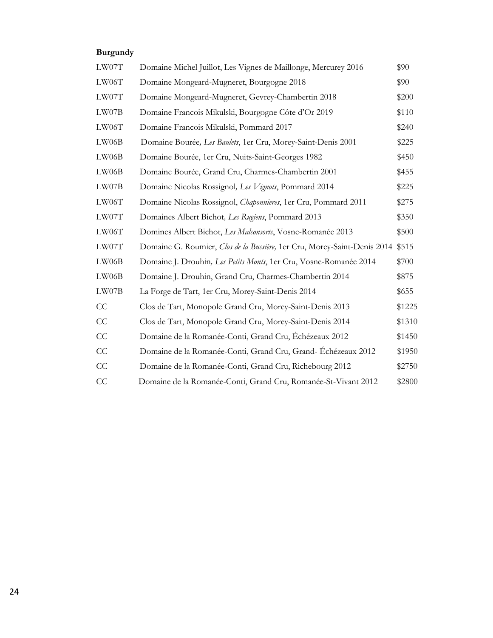#### **Burgundy**

| LW07T | Domaine Michel Juillot, Les Vignes de Maillonge, Mercurey 2016           | \$90   |
|-------|--------------------------------------------------------------------------|--------|
| LW06T | Domaine Mongeard-Mugneret, Bourgogne 2018                                | \$90   |
| LW07T | Domaine Mongeard-Mugneret, Gevrey-Chambertin 2018                        | \$200  |
| LW07B | Domaine Francois Mikulski, Bourgogne Côte d'Or 2019                      | \$110  |
| LW06T | Domaine Francois Mikulski, Pommard 2017                                  | \$240  |
| LW06B | Domaine Bourée, Les Baulets, 1er Cru, Morey-Saint-Denis 2001             | \$225  |
| LW06B | Domaine Bourée, 1er Cru, Nuits-Saint-Georges 1982                        | \$450  |
| LW06B | Domaine Bourée, Grand Cru, Charmes-Chambertin 2001                       | \$455  |
| LW07B | Domaine Nicolas Rossignol, Les Vignots, Pommard 2014                     | \$225  |
| LW06T | Domaine Nicolas Rossignol, Chaponnieres, 1er Cru, Pommard 2011           | \$275  |
| LW07T | Domaines Albert Bichot, Les Rugiens, Pommard 2013                        | \$350  |
| LW06T | Domines Albert Bichot, Les Malconsorts, Vosne-Romanée 2013               | \$500  |
| LW07T | Domaine G. Roumier, Clos de la Bussière, 1er Cru, Morey-Saint-Denis 2014 | \$515  |
| LW06B | Domaine J. Drouhin, Les Petits Monts, 1er Cru, Vosne-Romanée 2014        | \$700  |
| LW06B | Domaine J. Drouhin, Grand Cru, Charmes-Chambertin 2014                   | \$875  |
| LW07B | La Forge de Tart, 1er Cru, Morey-Saint-Denis 2014                        | \$655  |
| CC    | Clos de Tart, Monopole Grand Cru, Morey-Saint-Denis 2013                 | \$1225 |
| CC    | Clos de Tart, Monopole Grand Cru, Morey-Saint-Denis 2014                 | \$1310 |
| CC    | Domaine de la Romanée-Conti, Grand Cru, Échézeaux 2012                   | \$1450 |
| CC    | Domaine de la Romanée-Conti, Grand Cru, Grand-Échézeaux 2012             | \$1950 |
| CC    | Domaine de la Romanée-Conti, Grand Cru, Richebourg 2012                  | \$2750 |
| CC    | Domaine de la Romanée-Conti, Grand Cru, Romanée-St-Vivant 2012           | \$2800 |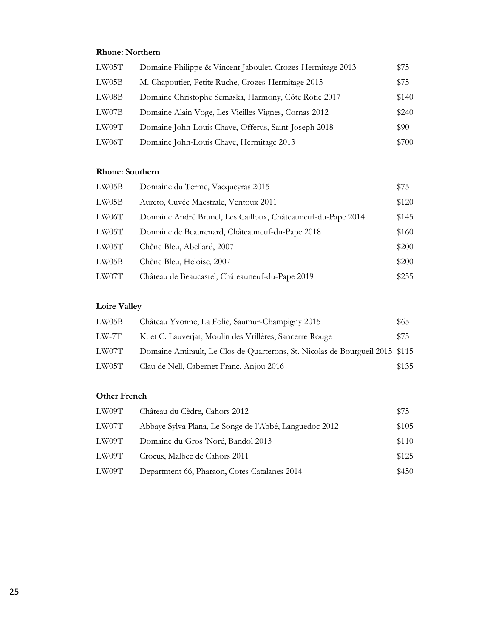#### **Rhone: Northern**

| LW05T | Domaine Philippe & Vincent Jaboulet, Crozes-Hermitage 2013 | \$75  |
|-------|------------------------------------------------------------|-------|
| LW05B | M. Chapoutier, Petite Ruche, Crozes-Hermitage 2015         | \$75  |
| LW08B | Domaine Christophe Semaska, Harmony, Côte Rôtie 2017       | \$140 |
| LW07B | Domaine Alain Voge, Les Vieilles Vignes, Cornas 2012       | \$240 |
| LW09T | Domaine John-Louis Chave, Offerus, Saint-Joseph 2018       | \$90  |
| LW06T | Domaine John-Louis Chave, Hermitage 2013                   | \$700 |

#### **Rhone: Southern**

| LW05B | Domaine du Terme, Vacqueyras 2015                            | \$75  |
|-------|--------------------------------------------------------------|-------|
| LW05B | Aureto, Cuvée Maestrale, Ventoux 2011                        | \$120 |
| LW06T | Domaine André Brunel, Les Cailloux, Châteauneuf-du-Pape 2014 | \$145 |
| LW05T | Domaine de Beaurenard, Châteauneuf-du-Pape 2018              | \$160 |
| LW05T | Chêne Bleu, Abellard, 2007                                   | \$200 |
| LW05B | Chêne Bleu, Heloise, 2007                                    | \$200 |
| LW07T | Château de Beaucastel, Châteauneuf-du-Pape 2019              | \$255 |

#### **Loire Valley**

| LW05B | Château Yvonne, La Folie, Saumur-Champigny 2015                              | \$65  |
|-------|------------------------------------------------------------------------------|-------|
| LW-7T | K. et C. Lauverjat, Moulin des Vrillères, Sancerre Rouge                     | \$75  |
| LW07T | Domaine Amirault, Le Clos de Quarterons, St. Nicolas de Bourgueil 2015 \$115 |       |
| LW05T | Clau de Nell, Cabernet Franc, Anjou 2016                                     | \$135 |

#### **Other French**

| LW09T | Château du Cèdre, Cahors 2012                          | \$75  |
|-------|--------------------------------------------------------|-------|
| LW07T | Abbaye Sylva Plana, Le Songe de l'Abbé, Languedoc 2012 | \$105 |
| LW09T | Domaine du Gros 'Noré, Bandol 2013                     | \$110 |
| LW09T | Crocus, Malbec de Cahors 2011                          | \$125 |
| LW09T | Department 66, Pharaon, Cotes Catalanes 2014           | \$450 |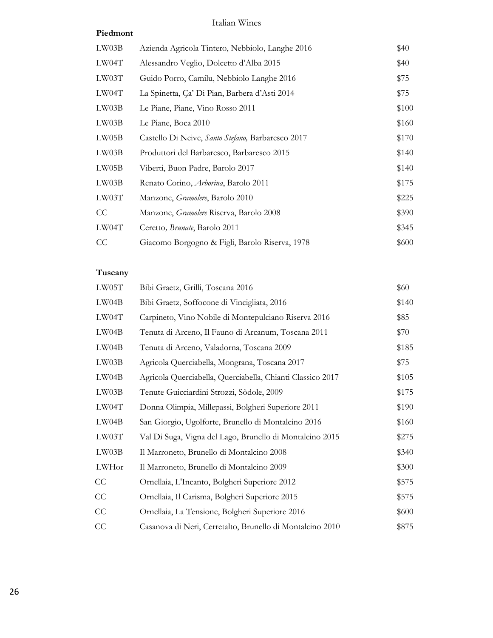#### Italian Wines

#### <span id="page-26-0"></span>**Piedmont**

| LW03B | Azienda Agricola Tintero, Nebbiolo, Langhe 2016   | \$40  |
|-------|---------------------------------------------------|-------|
| LW04T | Alessandro Veglio, Dolcetto d'Alba 2015           | \$40  |
| LW03T | Guido Porro, Camilu, Nebbiolo Langhe 2016         | \$75  |
| LW04T | La Spinetta, Ça' Di Pian, Barbera d'Asti 2014     | \$75  |
| LW03B | Le Piane, Piane, Vino Rosso 2011                  | \$100 |
| LW03B | Le Piane, Boca 2010                               | \$160 |
| LW05B | Castello Di Neive, Santo Stefano, Barbaresco 2017 | \$170 |
| LW03B | Produttori del Barbaresco, Barbaresco 2015        | \$140 |
| LW05B | Viberti, Buon Padre, Barolo 2017                  | \$140 |
| LW03B | Renato Corino, Arborina, Barolo 2011              | \$175 |
| LW03T | Manzone, Gramolere, Barolo 2010                   | \$225 |
| CC    | Manzone, <i>Gramolere</i> Riserva, Barolo 2008    | \$390 |
| LW04T | Ceretto, <i>Brunate</i> , Barolo 2011             | \$345 |
| CC    | Giacomo Borgogno & Figli, Barolo Riserva, 1978    | \$600 |

# **Tuscany**

| LW05T | Bibi Graetz, Grilli, Toscana 2016                          | \$60  |
|-------|------------------------------------------------------------|-------|
| LWO4B | Bibi Graetz, Soffocone di Vincigliata, 2016                | \$140 |
| LW04T | Carpineto, Vino Nobile di Montepulciano Riserva 2016       | \$85  |
| LW04B | Tenuta di Arceno, Il Fauno di Arcanum, Toscana 2011        | \$70  |
| LW04B | Tenuta di Arceno, Valadorna, Toscana 2009                  | \$185 |
| LW03B | Agricola Querciabella, Mongrana, Toscana 2017              | \$75  |
| LW04B | Agricola Querciabella, Querciabella, Chianti Classico 2017 | \$105 |
| LW03B | Tenute Guicciardini Strozzi, Sòdole, 2009                  | \$175 |
| LW04T | Donna Olimpia, Millepassi, Bolgheri Superiore 2011         | \$190 |
| LWO4B | San Giorgio, Ugolforte, Brunello di Montalcino 2016        | \$160 |
| LW03T | Val Di Suga, Vigna del Lago, Brunello di Montalcino 2015   | \$275 |
| LW03B | Il Marroneto, Brunello di Montalcino 2008                  | \$340 |
| LWHor | Il Marroneto, Brunello di Montalcino 2009                  | \$300 |
| CC    | Ornellaia, L'Incanto, Bolgheri Superiore 2012              | \$575 |
| CC    | Ornellaia, Il Carisma, Bolgheri Superiore 2015             | \$575 |
| CC    | Ornellaia, La Tensione, Bolgheri Superiore 2016            | \$600 |
| CC    | Casanova di Neri, Cerretalto, Brunello di Montalcino 2010  | \$875 |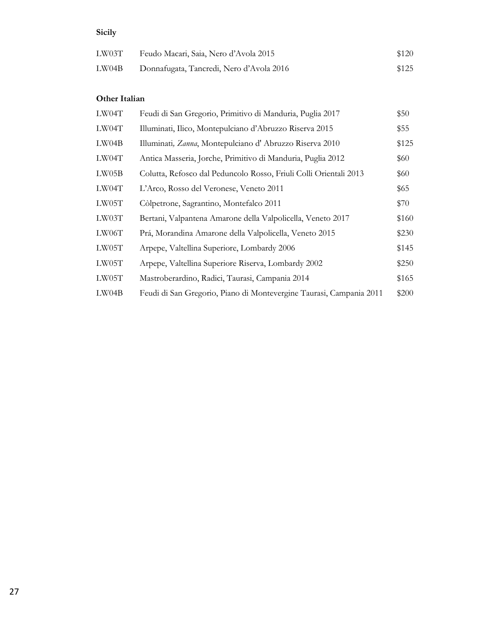#### **Sicily**

| LW03T | Feudo Macari, Saia, Nero d'Avola 2015    | \$120 |
|-------|------------------------------------------|-------|
| LW04B | Donnafugata, Tancredi, Nero d'Avola 2016 | \$125 |

#### **Other Italian**

| LW04T | Feudi di San Gregorio, Primitivo di Manduria, Puglia 2017           | \$50  |
|-------|---------------------------------------------------------------------|-------|
| LW04T | Illuminati, Ilico, Montepulciano d'Abruzzo Riserva 2015             | \$55  |
| LWO4B | Illuminati, Zanna, Montepulciano d'Abruzzo Riserva 2010             | \$125 |
| LW04T | Antica Masseria, Jorche, Primitivo di Manduria, Puglia 2012         | \$60  |
| LW05B | Colutta, Refosco dal Peduncolo Rosso, Friuli Colli Orientali 2013   | \$60  |
| LW04T | L'Arco, Rosso del Veronese, Veneto 2011                             | \$65  |
| LW05T | Còlpetrone, Sagrantino, Montefalco 2011                             | \$70  |
| LW03T | Bertani, Valpantena Amarone della Valpolicella, Veneto 2017         | \$160 |
| LW06T | Prá, Morandina Amarone della Valpolicella, Veneto 2015              | \$230 |
| LW05T | Arpepe, Valtellina Superiore, Lombardy 2006                         | \$145 |
| LW05T | Arpepe, Valtellina Superiore Riserva, Lombardy 2002                 | \$250 |
| LW05T | Mastroberardino, Radici, Taurasi, Campania 2014                     | \$165 |
| LWO4B | Feudi di San Gregorio, Piano di Montevergine Taurasi, Campania 2011 | \$200 |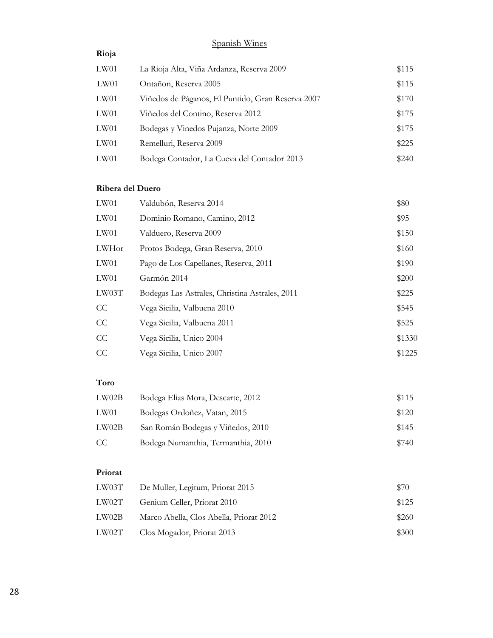# Spanish Wines

<span id="page-28-0"></span>

| LW01<br>La Rioja Alta, Viña Ardanza, Reserva 2009<br>LW01<br>Ontañon, Reserva 2005<br>LW01<br>Viñedos de Páganos, El Puntido, Gran Reserva 2007<br>LW01<br>Viñedos del Contino, Reserva 2012<br>LW01<br>Bodegas y Vinedos Pujanza, Norte 2009<br>LW01<br>Remelluri, Reserva 2009 | Rioja |                                             |       |
|----------------------------------------------------------------------------------------------------------------------------------------------------------------------------------------------------------------------------------------------------------------------------------|-------|---------------------------------------------|-------|
|                                                                                                                                                                                                                                                                                  |       |                                             | \$115 |
|                                                                                                                                                                                                                                                                                  |       |                                             | \$115 |
|                                                                                                                                                                                                                                                                                  |       |                                             | \$170 |
|                                                                                                                                                                                                                                                                                  |       |                                             | \$175 |
|                                                                                                                                                                                                                                                                                  |       |                                             | \$175 |
|                                                                                                                                                                                                                                                                                  |       |                                             | \$225 |
|                                                                                                                                                                                                                                                                                  | LW01  | Bodega Contador, La Cueva del Contador 2013 | \$240 |

#### **Ribera del Duero**

| LW01  | Valdubón, Reserva 2014                         | \$80   |
|-------|------------------------------------------------|--------|
| LW01  | Dominio Romano, Camino, 2012                   | \$95   |
| LW01  | Valduero, Reserva 2009                         | \$150  |
| LWHor | Protos Bodega, Gran Reserva, 2010              | \$160  |
| LW01  | Pago de Los Capellanes, Reserva, 2011          | \$190  |
| LW01  | Garmón 2014                                    | \$200  |
| LW03T | Bodegas Las Astrales, Christina Astrales, 2011 | \$225  |
| CC    | Vega Sicilia, Valbuena 2010                    | \$545  |
| CC    | Vega Sicilia, Valbuena 2011                    | \$525  |
| CC    | Vega Sicilia, Unico 2004                       | \$1330 |
| CC    | Vega Sicilia, Unico 2007                       | \$1225 |

# **Toro**

| LW02B | Bodega Elias Mora, Descarte, 2012  | \$115 |
|-------|------------------------------------|-------|
| LW01  | Bodegas Ordoñez, Vatan, 2015       | \$120 |
| LW02B | San Román Bodegas y Viñedos, 2010  | \$145 |
| CC    | Bodega Numanthia, Termanthia, 2010 | \$740 |

#### **Priorat**

| LW03T | De Muller, Legitum, Priorat 2015        | \$70  |
|-------|-----------------------------------------|-------|
| LW02T | Genium Celler, Priorat 2010             | \$125 |
| LW02B | Marco Abella, Clos Abella, Priorat 2012 | \$260 |
| LW02T | Clos Mogador, Priorat 2013              | \$300 |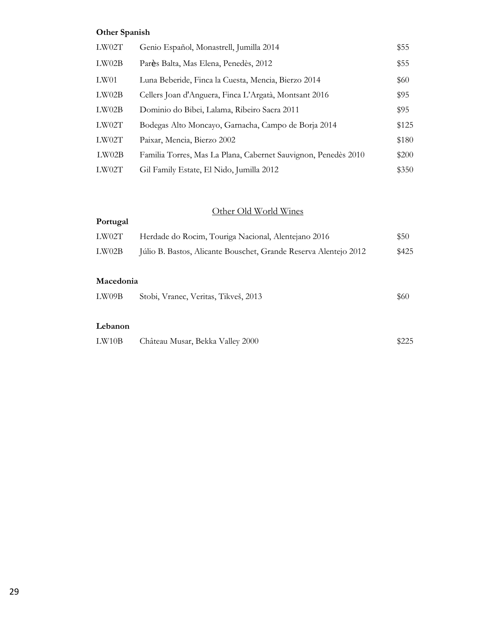#### **Other Spanish**

| LW02T | Genio Español, Monastrell, Jumilla 2014                        | \$55  |
|-------|----------------------------------------------------------------|-------|
| LW02B | Parès Balta, Mas Elena, Penedès, 2012                          | \$55  |
| LW01  | Luna Beberide, Finca la Cuesta, Mencia, Bierzo 2014            | \$60  |
| LW02B | Cellers Joan d'Anguera, Finca L'Argatà, Montsant 2016          | \$95  |
| LW02B | Dominio do Bibei, Lalama, Ribeiro Sacra 2011                   | \$95  |
| LW02T | Bodegas Alto Moncayo, Garnacha, Campo de Borja 2014            | \$125 |
| LW02T | Paixar, Mencia, Bierzo 2002                                    | \$180 |
| LW02B | Familia Torres, Mas La Plana, Cabernet Sauvignon, Penedès 2010 | \$200 |
| LW02T | Gil Family Estate, El Nido, Jumilla 2012                       | \$350 |

#### Other Old World Wines

| LW02T | Herdade do Rocim, Touriga Nacional, Alentejano 2016              | \$50  |
|-------|------------------------------------------------------------------|-------|
| LW02B | Júlio B. Bastos, Alicante Bouschet, Grande Reserva Alentejo 2012 | \$425 |

#### **Macedonia**

<span id="page-29-0"></span>**Portugal**

| LW09B | Stobi, Vranec, Veritas, Tikveš, 2013 | \$60 |
|-------|--------------------------------------|------|
|-------|--------------------------------------|------|

#### **Lebanon**

| LW10B | Château Musar, Bekka Valley 2000 | \$225 |
|-------|----------------------------------|-------|
|-------|----------------------------------|-------|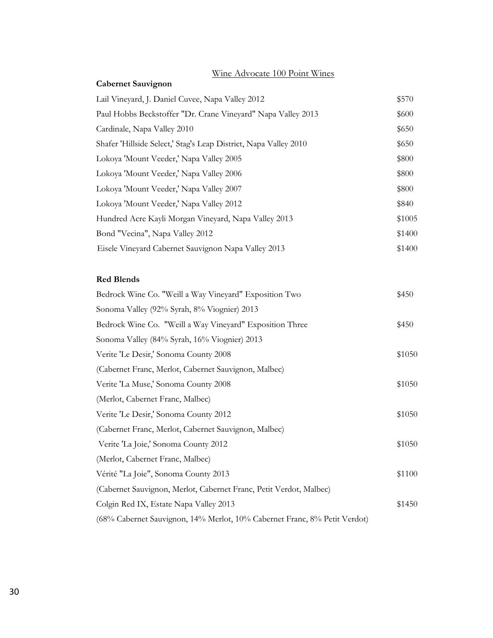#### Wine Advocate 100 Point Wines

| <b>Cabernet Sauvignon</b>                                        |        |
|------------------------------------------------------------------|--------|
| Lail Vineyard, J. Daniel Cuvee, Napa Valley 2012                 | \$570  |
| Paul Hobbs Beckstoffer "Dr. Crane Vineyard" Napa Valley 2013     | \$600  |
| Cardinale, Napa Valley 2010                                      | \$650  |
| Shafer 'Hillside Select,' Stag's Leap District, Napa Valley 2010 | \$650  |
| Lokoya 'Mount Veeder,' Napa Valley 2005                          | \$800  |
| Lokoya 'Mount Veeder,' Napa Valley 2006                          | \$800  |
| Lokoya 'Mount Veeder,' Napa Valley 2007                          | \$800  |
| Lokoya 'Mount Veeder,' Napa Valley 2012                          | \$840  |
| Hundred Acre Kayli Morgan Vineyard, Napa Valley 2013             | \$1005 |
| Bond "Vecina", Napa Valley 2012                                  | \$1400 |
| Eisele Vineyard Cabernet Sauvignon Napa Valley 2013              | \$1400 |
|                                                                  |        |

#### **Red Blends**

| Bedrock Wine Co. "Weill a Way Vineyard" Exposition Two                    | \$450  |
|---------------------------------------------------------------------------|--------|
| Sonoma Valley (92% Syrah, 8% Viognier) 2013                               |        |
| Bedrock Wine Co. "Weill a Way Vineyard" Exposition Three                  | \$450  |
| Sonoma Valley (84% Syrah, 16% Viognier) 2013                              |        |
| Verite 'Le Desir,' Sonoma County 2008                                     | \$1050 |
| (Cabernet Franc, Merlot, Cabernet Sauvignon, Malbec)                      |        |
| Verite 'La Muse,' Sonoma County 2008                                      | \$1050 |
| (Merlot, Cabernet Franc, Malbec)                                          |        |
| Verite 'Le Desir,' Sonoma County 2012                                     | \$1050 |
| (Cabernet Franc, Merlot, Cabernet Sauvignon, Malbec)                      |        |
| Verite 'La Joie,' Sonoma County 2012                                      | \$1050 |
| (Merlot, Cabernet Franc, Malbec)                                          |        |
| Vérité "La Joie", Sonoma County 2013                                      | \$1100 |
| (Cabernet Sauvignon, Merlot, Cabernet Franc, Petit Verdot, Malbec)        |        |
| Colgin Red IX, Estate Napa Valley 2013                                    | \$1450 |
| (68% Cabernet Sauvignon, 14% Merlot, 10% Cabernet Franc, 8% Petit Verdot) |        |